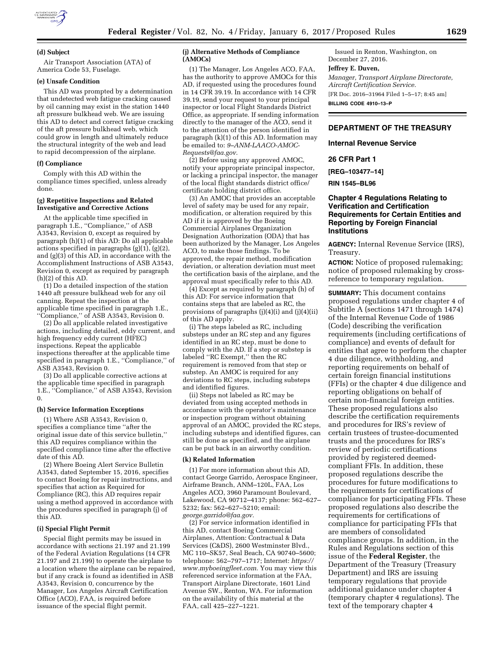

#### **(d) Subject**

Air Transport Association (ATA) of America Code 53, Fuselage.

### **(e) Unsafe Condition**

This AD was prompted by a determination that undetected web fatigue cracking caused by oil canning may exist in the station 1440 aft pressure bulkhead web. We are issuing this AD to detect and correct fatigue cracking of the aft pressure bulkhead web, which could grow in length and ultimately reduce the structural integrity of the web and lead to rapid decompression of the airplane.

#### **(f) Compliance**

Comply with this AD within the compliance times specified, unless already done.

#### **(g) Repetitive Inspections and Related Investigative and Corrective Actions**

At the applicable time specified in paragraph 1.E., "Compliance," of ASB A3543, Revision 0, except as required by paragraph (h)(1) of this AD: Do all applicable actions specified in paragraphs (g)(1), (g)(2), and (g)(3) of this AD, in accordance with the Accomplishment Instructions of ASB A3543, Revision 0, except as required by paragraph (h)(2) of this AD.

(1) Do a detailed inspection of the station 1440 aft pressure bulkhead web for any oil canning. Repeat the inspection at the applicable time specified in paragraph 1.E., ''Compliance,'' of ASB A3543, Revision 0.

(2) Do all applicable related investigative actions, including detailed, eddy current, and high frequency eddy current (HFEC) inspections. Repeat the applicable inspections thereafter at the applicable time specified in paragraph 1.E., ''Compliance,'' of ASB A3543, Revision 0.

(3) Do all applicable corrective actions at the applicable time specified in paragraph 1.E., ''Compliance,'' of ASB A3543, Revision 0.

#### **(h) Service Information Exceptions**

(1) Where ASB A3543, Revision 0, specifies a compliance time ''after the original issue date of this service bulletin,'' this AD requires compliance within the specified compliance time after the effective date of this AD.

(2) Where Boeing Alert Service Bulletin A3543, dated September 15, 2016, specifies to contact Boeing for repair instructions, and specifies that action as Required for Compliance (RC), this AD requires repair using a method approved in accordance with the procedures specified in paragraph (j) of this AD.

## **(i) Special Flight Permit**

Special flight permits may be issued in accordance with sections 21.197 and 21.199 of the Federal Aviation Regulations (14 CFR 21.197 and 21.199) to operate the airplane to a location where the airplane can be repaired, but if any crack is found as identified in ASB A3543, Revision 0, concurrence by the Manager, Los Angeles Aircraft Certification Office (ACO), FAA, is required before issuance of the special flight permit.

### **(j) Alternative Methods of Compliance (AMOCs)**

(1) The Manager, Los Angeles ACO, FAA, has the authority to approve AMOCs for this AD, if requested using the procedures found in 14 CFR 39.19. In accordance with 14 CFR 39.19, send your request to your principal inspector or local Flight Standards District Office, as appropriate. If sending information directly to the manager of the ACO, send it to the attention of the person identified in paragraph (k)(1) of this AD. Information may be emailed to: *[9–ANM-LAACO-AMOC-](mailto:9-ANM-LAACO-AMOC-Requests@faa.gov)[Requests@faa.gov.](mailto:9-ANM-LAACO-AMOC-Requests@faa.gov)* 

(2) Before using any approved AMOC, notify your appropriate principal inspector, or lacking a principal inspector, the manager of the local flight standards district office/ certificate holding district office.

(3) An AMOC that provides an acceptable level of safety may be used for any repair, modification, or alteration required by this AD if it is approved by the Boeing Commercial Airplanes Organization Designation Authorization (ODA) that has been authorized by the Manager, Los Angeles ACO, to make those findings. To be approved, the repair method, modification deviation, or alteration deviation must meet the certification basis of the airplane, and the approval must specifically refer to this AD.

(4) Except as required by paragraph (h) of this AD: For service information that contains steps that are labeled as RC, the provisions of paragraphs (j)(4)(i) and (j)(4)(ii) of this AD apply.

(i) The steps labeled as RC, including substeps under an RC step and any figures identified in an RC step, must be done to comply with the AD. If a step or substep is labeled ''RC Exempt,'' then the RC requirement is removed from that step or substep. An AMOC is required for any deviations to RC steps, including substeps and identified figures.

(ii) Steps not labeled as RC may be deviated from using accepted methods in accordance with the operator's maintenance or inspection program without obtaining approval of an AMOC, provided the RC steps, including substeps and identified figures, can still be done as specified, and the airplane can be put back in an airworthy condition.

## **(k) Related Information**

(1) For more information about this AD, contact George Garrido, Aerospace Engineer, Airframe Branch, ANM–120L, FAA, Los Angeles ACO, 3960 Paramount Boulevard, Lakewood, CA 90712–4137; phone: 562–627– 5232; fax: 562–627–5210; email: *[george.garrido@faa.gov.](mailto:george.garrido@faa.gov)* 

(2) For service information identified in this AD, contact Boeing Commercial Airplanes, Attention: Contractual & Data Services (C&DS), 2600 Westminster Blvd., MC 110–SK57, Seal Beach, CA 90740–5600; telephone: 562–797–1717; Internet: *[https://](https://www.myboeingfleet.com) [www.myboeingfleet.com.](https://www.myboeingfleet.com)* You may view this referenced service information at the FAA, Transport Airplane Directorate, 1601 Lind Avenue SW., Renton, WA. For information on the availability of this material at the FAA, call 425–227–1221.

Issued in Renton, Washington, on December 27, 2016.

## **Jeffrey E. Duven,**

*Manager, Transport Airplane Directorate, Aircraft Certification Service.* 

[FR Doc. 2016–31964 Filed 1–5–17; 8:45 am] **BILLING CODE 4910–13–P** 

## **DEPARTMENT OF THE TREASURY**

**Internal Revenue Service** 

#### **26 CFR Part 1**

**[REG–103477–14]** 

**RIN 1545–BL96** 

## **Chapter 4 Regulations Relating to Verification and Certification Requirements for Certain Entities and Reporting by Foreign Financial Institutions**

**AGENCY:** Internal Revenue Service (IRS), Treasury.

**ACTION:** Notice of proposed rulemaking; notice of proposed rulemaking by crossreference to temporary regulation.

**SUMMARY:** This document contains proposed regulations under chapter 4 of Subtitle A (sections 1471 through 1474) of the Internal Revenue Code of 1986 (Code) describing the verification requirements (including certifications of compliance) and events of default for entities that agree to perform the chapter 4 due diligence, withholding, and reporting requirements on behalf of certain foreign financial institutions (FFIs) or the chapter 4 due diligence and reporting obligations on behalf of certain non-financial foreign entities. These proposed regulations also describe the certification requirements and procedures for IRS's review of certain trustees of trustee-documented trusts and the procedures for IRS's review of periodic certifications provided by registered deemedcompliant FFIs. In addition, these proposed regulations describe the procedures for future modifications to the requirements for certifications of compliance for participating FFIs. These proposed regulations also describe the requirements for certifications of compliance for participating FFIs that are members of consolidated compliance groups. In addition, in the Rules and Regulations section of this issue of the **Federal Register**, the Department of the Treasury (Treasury Department) and IRS are issuing temporary regulations that provide additional guidance under chapter 4 (temporary chapter 4 regulations). The text of the temporary chapter 4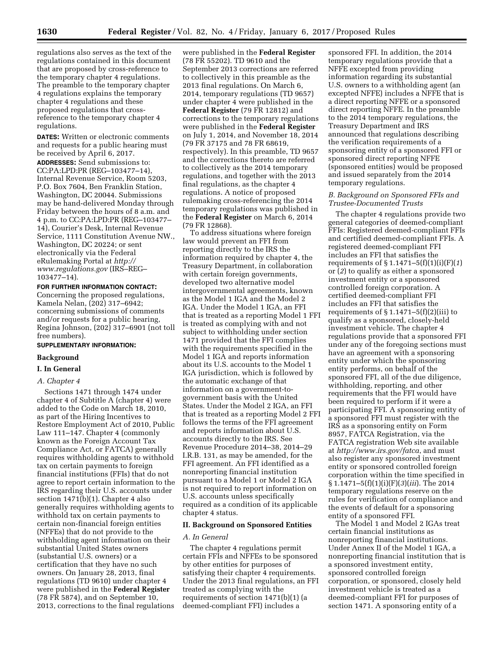regulations also serves as the text of the regulations contained in this document that are proposed by cross-reference to the temporary chapter 4 regulations. The preamble to the temporary chapter 4 regulations explains the temporary chapter 4 regulations and these proposed regulations that crossreference to the temporary chapter 4 regulations.

**DATES:** Written or electronic comments and requests for a public hearing must be received by April 6, 2017.

**ADDRESSES:** Send submissions to: CC:PA:LPD:PR (REG–103477–14), Internal Revenue Service, Room 5203, P.O. Box 7604, Ben Franklin Station, Washington, DC 20044. Submissions may be hand-delivered Monday through Friday between the hours of 8 a.m. and 4 p.m. to CC:PA:LPD:PR (REG–103477– 14), Courier's Desk, Internal Revenue Service, 1111 Constitution Avenue NW., Washington, DC 20224; or sent electronically via the Federal eRulemaking Portal at *[http://](http://www.regulations.gov) [www.regulations.gov](http://www.regulations.gov)* (IRS–REG– 103477–14).

# **FOR FURTHER INFORMATION CONTACT:**  Concerning the proposed regulations, Kamela Nelan, (202) 317–6942; concerning submissions of comments and/or requests for a public hearing, Regina Johnson, (202) 317–6901 (not toll free numbers).

### **SUPPLEMENTARY INFORMATION:**

### **Background**

### **I. In General**

### *A. Chapter 4*

Sections 1471 through 1474 under chapter 4 of Subtitle A (chapter 4) were added to the Code on March 18, 2010, as part of the Hiring Incentives to Restore Employment Act of 2010, Public Law 111–147. Chapter 4 (commonly known as the Foreign Account Tax Compliance Act, or FATCA) generally requires withholding agents to withhold tax on certain payments to foreign financial institutions (FFIs) that do not agree to report certain information to the IRS regarding their U.S. accounts under section 1471(b)(1). Chapter 4 also generally requires withholding agents to withhold tax on certain payments to certain non-financial foreign entities (NFFEs) that do not provide to the withholding agent information on their substantial United States owners (substantial U.S. owners) or a certification that they have no such owners. On January 28, 2013, final regulations (TD 9610) under chapter 4 were published in the **Federal Register**  (78 FR 5874), and on September 10, 2013, corrections to the final regulations

were published in the **Federal Register**  (78 FR 55202). TD 9610 and the September 2013 corrections are referred to collectively in this preamble as the 2013 final regulations. On March 6, 2014, temporary regulations (TD 9657) under chapter 4 were published in the **Federal Register** (79 FR 12812) and corrections to the temporary regulations were published in the **Federal Register**  on July 1, 2014, and November 18, 2014 (79 FR 37175 and 78 FR 68619, respectively). In this preamble, TD 9657 and the corrections thereto are referred to collectively as the 2014 temporary regulations, and together with the 2013 final regulations, as the chapter 4 regulations. A notice of proposed rulemaking cross-referencing the 2014 temporary regulations was published in the **Federal Register** on March 6, 2014 (79 FR 12868).

To address situations where foreign law would prevent an FFI from reporting directly to the IRS the information required by chapter 4, the Treasury Department, in collaboration with certain foreign governments, developed two alternative model intergovernmental agreements, known as the Model 1 IGA and the Model 2 IGA. Under the Model 1 IGA, an FFI that is treated as a reporting Model 1 FFI is treated as complying with and not subject to withholding under section 1471 provided that the FFI complies with the requirements specified in the Model 1 IGA and reports information about its U.S. accounts to the Model 1 IGA jurisdiction, which is followed by the automatic exchange of that information on a government-togovernment basis with the United States. Under the Model 2 IGA, an FFI that is treated as a reporting Model 2 FFI follows the terms of the FFI agreement and reports information about U.S. accounts directly to the IRS. See Revenue Procedure 2014–38, 2014–29 I.R.B. 131, as may be amended, for the FFI agreement. An FFI identified as a nonreporting financial institution pursuant to a Model 1 or Model 2 IGA is not required to report information on U.S. accounts unless specifically required as a condition of its applicable chapter 4 status.

## **II. Background on Sponsored Entities**

## *A. In General*

The chapter 4 regulations permit certain FFIs and NFFEs to be sponsored by other entities for purposes of satisfying their chapter 4 requirements. Under the 2013 final regulations, an FFI treated as complying with the requirements of section 1471(b)(1) (a deemed-compliant FFI) includes a

sponsored FFI. In addition, the 2014 temporary regulations provide that a NFFE excepted from providing information regarding its substantial U.S. owners to a withholding agent (an excepted NFFE) includes a NFFE that is a direct reporting NFFE or a sponsored direct reporting NFFE. In the preamble to the 2014 temporary regulations, the Treasury Department and IRS announced that regulations describing the verification requirements of a sponsoring entity of a sponsored FFI or sponsored direct reporting NFFE (sponsored entities) would be proposed and issued separately from the 2014 temporary regulations.

## *B. Background on Sponsored FFIs and Trustee-Documented Trusts*

The chapter 4 regulations provide two general categories of deemed-compliant FFIs: Registered deemed-compliant FFIs and certified deemed-compliant FFIs. A registered deemed-compliant FFI includes an FFI that satisfies the requirements of § 1.1471–5(f)(1)(i)(F)(*1*) or (*2*) to qualify as either a sponsored investment entity or a sponsored controlled foreign corporation. A certified deemed-compliant FFI includes an FFI that satisfies the requirements of  $\S 1.1471 - 5(f)(2)(iii)$  to qualify as a sponsored, closely-held investment vehicle. The chapter 4 regulations provide that a sponsored FFI under any of the foregoing sections must have an agreement with a sponsoring entity under which the sponsoring entity performs, on behalf of the sponsored FFI, all of the due diligence, withholding, reporting, and other requirements that the FFI would have been required to perform if it were a participating FFI. A sponsoring entity of a sponsored FFI must register with the IRS as a sponsoring entity on Form 8957, FATCA Registration, via the FATCA registration Web site available at *<http://www.irs.gov/fatca>*, and must also register any sponsored investment entity or sponsored controlled foreign corporation within the time specified in § 1.1471–5(f)(1)(i)(F)(*3*)(*iii*). The 2014 temporary regulations reserve on the rules for verification of compliance and the events of default for a sponsoring entity of a sponsored FFI.

The Model 1 and Model 2 IGAs treat certain financial institutions as nonreporting financial institutions. Under Annex II of the Model 1 IGA, a nonreporting financial institution that is a sponsored investment entity, sponsored controlled foreign corporation, or sponsored, closely held investment vehicle is treated as a deemed-compliant FFI for purposes of section 1471. A sponsoring entity of a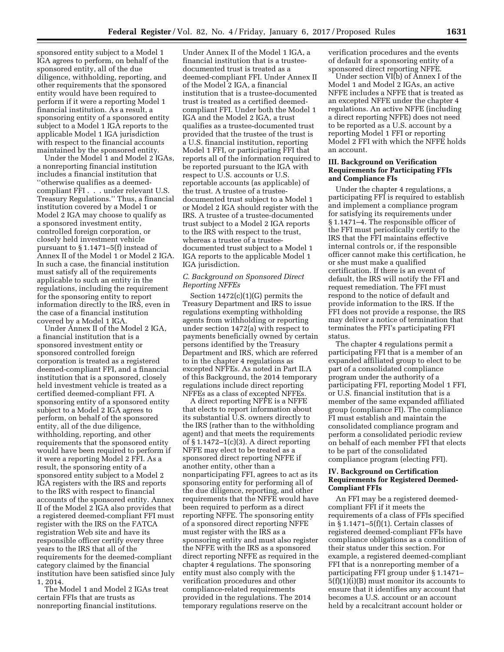sponsored entity subject to a Model 1 IGA agrees to perform, on behalf of the sponsored entity, all of the due diligence, withholding, reporting, and other requirements that the sponsored entity would have been required to perform if it were a reporting Model 1 financial institution. As a result, a sponsoring entity of a sponsored entity subject to a Model 1 IGA reports to the applicable Model 1 IGA jurisdiction with respect to the financial accounts maintained by the sponsored entity.

Under the Model 1 and Model 2 IGAs, a nonreporting financial institution includes a financial institution that ''otherwise qualifies as a deemedcompliant FFI . . . under relevant U.S. Treasury Regulations.'' Thus, a financial institution covered by a Model 1 or Model 2 IGA may choose to qualify as a sponsored investment entity, controlled foreign corporation, or closely held investment vehicle pursuant to § 1.1471–5(f) instead of Annex II of the Model 1 or Model 2 IGA. In such a case, the financial institution must satisfy all of the requirements applicable to such an entity in the regulations, including the requirement for the sponsoring entity to report information directly to the IRS, even in the case of a financial institution covered by a Model 1 IGA.

Under Annex II of the Model 2 IGA, a financial institution that is a sponsored investment entity or sponsored controlled foreign corporation is treated as a registered deemed-compliant FFI, and a financial institution that is a sponsored, closely held investment vehicle is treated as a certified deemed-compliant FFI. A sponsoring entity of a sponsored entity subject to a Model 2 IGA agrees to perform, on behalf of the sponsored entity, all of the due diligence, withholding, reporting, and other requirements that the sponsored entity would have been required to perform if it were a reporting Model 2 FFI. As a result, the sponsoring entity of a sponsored entity subject to a Model 2 IGA registers with the IRS and reports to the IRS with respect to financial accounts of the sponsored entity. Annex II of the Model 2 IGA also provides that a registered deemed-compliant FFI must register with the IRS on the FATCA registration Web site and have its responsible officer certify every three years to the IRS that all of the requirements for the deemed-compliant category claimed by the financial institution have been satisfied since July 1, 2014.

The Model 1 and Model 2 IGAs treat certain FFIs that are trusts as nonreporting financial institutions.

Under Annex II of the Model 1 IGA, a financial institution that is a trusteedocumented trust is treated as a deemed-compliant FFI. Under Annex II of the Model 2 IGA, a financial institution that is a trustee-documented trust is treated as a certified deemedcompliant FFI. Under both the Model 1 IGA and the Model 2 IGA, a trust qualifies as a trustee-documented trust provided that the trustee of the trust is a U.S. financial institution, reporting Model 1 FFI, or participating FFI that reports all of the information required to be reported pursuant to the IGA with respect to U.S. accounts or U.S. reportable accounts (as applicable) of the trust. A trustee of a trusteedocumented trust subject to a Model 1 or Model 2 IGA should register with the IRS. A trustee of a trustee-documented trust subject to a Model 2 IGA reports to the IRS with respect to the trust, whereas a trustee of a trusteedocumented trust subject to a Model 1 IGA reports to the applicable Model 1 IGA jurisdiction.

## *C. Background on Sponsored Direct Reporting NFFEs*

Section 1472(c)(1)(G) permits the Treasury Department and IRS to issue regulations exempting withholding agents from withholding or reporting under section 1472(a) with respect to payments beneficially owned by certain persons identified by the Treasury Department and IRS, which are referred to in the chapter 4 regulations as excepted NFFEs. As noted in Part II.A of this Background, the 2014 temporary regulations include direct reporting NFFEs as a class of excepted NFFEs.

A direct reporting NFFE is a NFFE that elects to report information about its substantial U.S. owners directly to the IRS (rather than to the withholding agent) and that meets the requirements of § 1.1472–1(c)(3). A direct reporting NFFE may elect to be treated as a sponsored direct reporting NFFE if another entity, other than a nonparticipating FFI, agrees to act as its sponsoring entity for performing all of the due diligence, reporting, and other requirements that the NFFE would have been required to perform as a direct reporting NFFE. The sponsoring entity of a sponsored direct reporting NFFE must register with the IRS as a sponsoring entity and must also register the NFFE with the IRS as a sponsored direct reporting NFFE as required in the chapter 4 regulations. The sponsoring entity must also comply with the verification procedures and other compliance-related requirements provided in the regulations. The 2014 temporary regulations reserve on the

verification procedures and the events of default for a sponsoring entity of a sponsored direct reporting NFFE.

Under section VI(b) of Annex I of the Model 1 and Model 2 IGAs, an active NFFE includes a NFFE that is treated as an excepted NFFE under the chapter 4 regulations. An active NFFE (including a direct reporting NFFE) does not need to be reported as a U.S. account by a reporting Model 1 FFI or reporting Model 2 FFI with which the NFFE holds an account.

## **III. Background on Verification Requirements for Participating FFIs and Compliance FIs**

Under the chapter 4 regulations, a participating FFI is required to establish and implement a compliance program for satisfying its requirements under § 1.1471–4. The responsible officer of the FFI must periodically certify to the IRS that the FFI maintains effective internal controls or, if the responsible officer cannot make this certification, he or she must make a qualified certification. If there is an event of default, the IRS will notify the FFI and request remediation. The FFI must respond to the notice of default and provide information to the IRS. If the FFI does not provide a response, the IRS may deliver a notice of termination that terminates the FFI's participating FFI status.

The chapter 4 regulations permit a participating FFI that is a member of an expanded affiliated group to elect to be part of a consolidated compliance program under the authority of a participating FFI, reporting Model 1 FFI, or U.S. financial institution that is a member of the same expanded affiliated group (compliance FI). The compliance FI must establish and maintain the consolidated compliance program and perform a consolidated periodic review on behalf of each member FFI that elects to be part of the consolidated compliance program (electing FFI).

## **IV. Background on Certification Requirements for Registered Deemed-Compliant FFIs**

An FFI may be a registered deemedcompliant FFI if it meets the requirements of a class of FFIs specified in § 1.1471–5(f)(1). Certain classes of registered deemed-compliant FFIs have compliance obligations as a condition of their status under this section. For example, a registered deemed-compliant FFI that is a nonreporting member of a participating FFI group under § 1.1471– 5(f)(1)(i)(B) must monitor its accounts to ensure that it identifies any account that becomes a U.S. account or an account held by a recalcitrant account holder or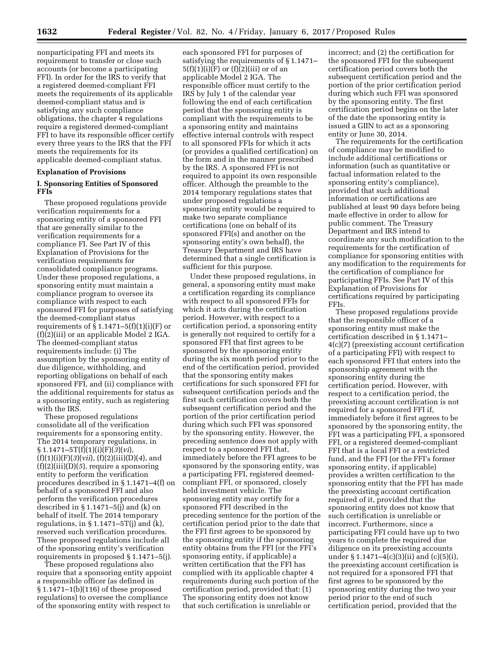nonparticipating FFI and meets its requirement to transfer or close such accounts (or become a participating FFI). In order for the IRS to verify that a registered deemed-compliant FFI meets the requirements of its applicable deemed-compliant status and is satisfying any such compliance obligations, the chapter 4 regulations require a registered deemed-compliant FFI to have its responsible officer certify every three years to the IRS that the FFI meets the requirements for its applicable deemed-compliant status.

## **Explanation of Provisions**

## **I. Sponsoring Entities of Sponsored FFIs**

These proposed regulations provide verification requirements for a sponsoring entity of a sponsored FFI that are generally similar to the verification requirements for a compliance FI. See Part IV of this Explanation of Provisions for the verification requirements for consolidated compliance programs. Under these proposed regulations, a sponsoring entity must maintain a compliance program to oversee its compliance with respect to each sponsored FFI for purposes of satisfying the deemed-compliant status requirements of  $\S 1.1471-5(f)(1)(i)(F)$  or (f)(2)(iii) or an applicable Model 2 IGA. The deemed-compliant status requirements include: (i) The assumption by the sponsoring entity of due diligence, withholding, and reporting obligations on behalf of each sponsored FFI, and (ii) compliance with the additional requirements for status as a sponsoring entity, such as registering with the IRS.

These proposed regulations consolidate all of the verification requirements for a sponsoring entity. The 2014 temporary regulations, in § 1.1471–5T(f)(1)(i)(F)(*3*)(*vi*), (f)(1)(i)(F)(*3*)(*vii*), (f)(2)(iii)(D)(*4*), and (f)(2)(iii)(D)(*5*), require a sponsoring entity to perform the verification procedures described in § 1.1471–4(f) on behalf of a sponsored FFI and also perform the verification procedures described in  $\S 1.1471-5(j)$  and (k) on behalf of itself. The 2014 temporary regulations, in  $\S 1.1471 - 5T(j)$  and  $(k)$ , reserved such verification procedures. These proposed regulations include all of the sponsoring entity's verification requirements in proposed § 1.1471–5(j).

These proposed regulations also require that a sponsoring entity appoint a responsible officer (as defined in § 1.1471–1(b)(116) of these proposed regulations) to oversee the compliance of the sponsoring entity with respect to

each sponsored FFI for purposes of satisfying the requirements of § 1.1471–  $5(f)(1)(i)(F)$  or  $(f)(2)(iii)$  or of an applicable Model 2 IGA. The responsible officer must certify to the IRS by July 1 of the calendar year following the end of each certification period that the sponsoring entity is compliant with the requirements to be a sponsoring entity and maintains effective internal controls with respect to all sponsored FFIs for which it acts (or provides a qualified certification) on the form and in the manner prescribed by the IRS. A sponsored FFI is not required to appoint its own responsible officer. Although the preamble to the 2014 temporary regulations states that under proposed regulations a sponsoring entity would be required to make two separate compliance certifications (one on behalf of its sponsored FFI(s) and another on the sponsoring entity's own behalf), the Treasury Department and IRS have determined that a single certification is sufficient for this purpose.

Under these proposed regulations, in general, a sponsoring entity must make a certification regarding its compliance with respect to all sponsored FFIs for which it acts during the certification period. However, with respect to a certification period, a sponsoring entity is generally not required to certify for a sponsored FFI that first agrees to be sponsored by the sponsoring entity during the six month period prior to the end of the certification period, provided that the sponsoring entity makes certifications for such sponsored FFI for subsequent certification periods and the first such certification covers both the subsequent certification period and the portion of the prior certification period during which such FFI was sponsored by the sponsoring entity. However, the preceding sentence does not apply with respect to a sponsored FFI that, immediately before the FFI agrees to be sponsored by the sponsoring entity, was a participating FFI, registered deemedcompliant FFI, or sponsored, closely held investment vehicle. The sponsoring entity may certify for a sponsored FFI described in the preceding sentence for the portion of the certification period prior to the date that the FFI first agrees to be sponsored by the sponsoring entity if the sponsoring entity obtains from the FFI (or the FFI's sponsoring entity, if applicable) a written certification that the FFI has complied with its applicable chapter 4 requirements during such portion of the certification period, provided that: (1) The sponsoring entity does not know that such certification is unreliable or

incorrect; and (2) the certification for the sponsored FFI for the subsequent certification period covers both the subsequent certification period and the portion of the prior certification period during which such FFI was sponsored by the sponsoring entity. The first certification period begins on the later of the date the sponsoring entity is issued a GIIN to act as a sponsoring entity or June 30, 2014.

The requirements for the certification of compliance may be modified to include additional certifications or information (such as quantitative or factual information related to the sponsoring entity's compliance), provided that such additional information or certifications are published at least 90 days before being made effective in order to allow for public comment. The Treasury Department and IRS intend to coordinate any such modification to the requirements for the certification of compliance for sponsoring entities with any modification to the requirements for the certification of compliance for participating FFIs. See Part IV of this Explanation of Provisions for certifications required by participating FFIs.

These proposed regulations provide that the responsible officer of a sponsoring entity must make the certification described in § 1.1471– 4(c)(7) (preexisting account certification of a participating FFI) with respect to each sponsored FFI that enters into the sponsorship agreement with the sponsoring entity during the certification period. However, with respect to a certification period, the preexisting account certification is not required for a sponsored FFI if, immediately before it first agrees to be sponsored by the sponsoring entity, the FFI was a participating FFI, a sponsored FFI, or a registered deemed-compliant FFI that is a local FFI or a restricted fund, and the FFI (or the FFI's former sponsoring entity, if applicable) provides a written certification to the sponsoring entity that the FFI has made the preexisting account certification required of it, provided that the sponsoring entity does not know that such certification is unreliable or incorrect. Furthermore, since a participating FFI could have up to two years to complete the required due diligence on its preexisting accounts under § 1.1471–4(c)(3)(ii) and (c)(5)(i), the preexisting account certification is not required for a sponsored FFI that first agrees to be sponsored by the sponsoring entity during the two year period prior to the end of such certification period, provided that the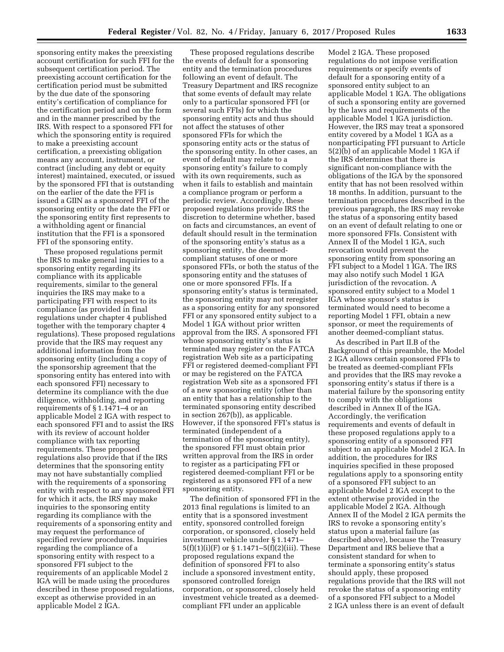sponsoring entity makes the preexisting account certification for such FFI for the subsequent certification period. The preexisting account certification for the certification period must be submitted by the due date of the sponsoring entity's certification of compliance for the certification period and on the form and in the manner prescribed by the IRS. With respect to a sponsored FFI for which the sponsoring entity is required to make a preexisting account certification, a preexisting obligation means any account, instrument, or contract (including any debt or equity interest) maintained, executed, or issued by the sponsored FFI that is outstanding on the earlier of the date the FFI is issued a GIIN as a sponsored FFI of the sponsoring entity or the date the FFI or the sponsoring entity first represents to a withholding agent or financial institution that the FFI is a sponsored FFI of the sponsoring entity.

These proposed regulations permit the IRS to make general inquiries to a sponsoring entity regarding its compliance with its applicable requirements, similar to the general inquiries the IRS may make to a participating FFI with respect to its compliance (as provided in final regulations under chapter 4 published together with the temporary chapter 4 regulations). These proposed regulations provide that the IRS may request any additional information from the sponsoring entity (including a copy of the sponsorship agreement that the sponsoring entity has entered into with each sponsored FFI) necessary to determine its compliance with the due diligence, withholding, and reporting requirements of § 1.1471–4 or an applicable Model 2 IGA with respect to each sponsored FFI and to assist the IRS with its review of account holder compliance with tax reporting requirements. These proposed regulations also provide that if the IRS determines that the sponsoring entity may not have substantially complied with the requirements of a sponsoring entity with respect to any sponsored FFI for which it acts, the IRS may make inquiries to the sponsoring entity regarding its compliance with the requirements of a sponsoring entity and may request the performance of specified review procedures. Inquiries regarding the compliance of a sponsoring entity with respect to a sponsored FFI subject to the requirements of an applicable Model 2 IGA will be made using the procedures described in these proposed regulations, except as otherwise provided in an applicable Model 2 IGA.

These proposed regulations describe the events of default for a sponsoring entity and the termination procedures following an event of default. The Treasury Department and IRS recognize that some events of default may relate only to a particular sponsored FFI (or several such FFIs) for which the sponsoring entity acts and thus should not affect the statuses of other sponsored FFIs for which the sponsoring entity acts or the status of the sponsoring entity. In other cases, an event of default may relate to a sponsoring entity's failure to comply with its own requirements, such as when it fails to establish and maintain a compliance program or perform a periodic review. Accordingly, these proposed regulations provide IRS the discretion to determine whether, based on facts and circumstances, an event of default should result in the termination of the sponsoring entity's status as a sponsoring entity, the deemedcompliant statuses of one or more sponsored FFIs, or both the status of the sponsoring entity and the statuses of one or more sponsored FFIs. If a sponsoring entity's status is terminated, the sponsoring entity may not reregister as a sponsoring entity for any sponsored FFI or any sponsored entity subject to a Model 1 IGA without prior written approval from the IRS. A sponsored FFI whose sponsoring entity's status is terminated may register on the FATCA registration Web site as a participating FFI or registered deemed-compliant FFI or may be registered on the FATCA registration Web site as a sponsored FFI of a new sponsoring entity (other than an entity that has a relationship to the terminated sponsoring entity described in section 267(b)), as applicable. However, if the sponsored FFI's status is terminated (independent of a termination of the sponsoring entity), the sponsored FFI must obtain prior written approval from the IRS in order to register as a participating FFI or registered deemed-compliant FFI or be registered as a sponsored FFI of a new sponsoring entity.

The definition of sponsored FFI in the 2013 final regulations is limited to an entity that is a sponsored investment entity, sponsored controlled foreign corporation, or sponsored, closely held investment vehicle under § 1.1471–  $5(f)(1)(i)(F)$  or  $\S 1.1471 - 5(f)(2)(iii)$ . These proposed regulations expand the definition of sponsored FFI to also include a sponsored investment entity, sponsored controlled foreign corporation, or sponsored, closely held investment vehicle treated as a deemedcompliant FFI under an applicable

Model 2 IGA. These proposed regulations do not impose verification requirements or specify events of default for a sponsoring entity of a sponsored entity subject to an applicable Model 1 IGA. The obligations of such a sponsoring entity are governed by the laws and requirements of the applicable Model 1 IGA jurisdiction. However, the IRS may treat a sponsored entity covered by a Model 1 IGA as a nonparticipating FFI pursuant to Article 5(2)(b) of an applicable Model 1 IGA if the IRS determines that there is significant non-compliance with the obligations of the IGA by the sponsored entity that has not been resolved within 18 months. In addition, pursuant to the termination procedures described in the previous paragraph, the IRS may revoke the status of a sponsoring entity based on an event of default relating to one or more sponsored FFIs. Consistent with Annex II of the Model 1 IGA, such revocation would prevent the sponsoring entity from sponsoring an FFI subject to a Model 1 IGA. The IRS may also notify such Model 1 IGA jurisdiction of the revocation. A sponsored entity subject to a Model 1 IGA whose sponsor's status is terminated would need to become a reporting Model 1 FFI, obtain a new sponsor, or meet the requirements of another deemed-compliant status.

As described in Part II.B of the Background of this preamble, the Model 2 IGA allows certain sponsored FFIs to be treated as deemed-compliant FFIs and provides that the IRS may revoke a sponsoring entity's status if there is a material failure by the sponsoring entity to comply with the obligations described in Annex II of the IGA. Accordingly, the verification requirements and events of default in these proposed regulations apply to a sponsoring entity of a sponsored FFI subject to an applicable Model 2 IGA. In addition, the procedures for IRS inquiries specified in these proposed regulations apply to a sponsoring entity of a sponsored FFI subject to an applicable Model 2 IGA except to the extent otherwise provided in the applicable Model 2 IGA. Although Annex II of the Model 2 IGA permits the IRS to revoke a sponsoring entity's status upon a material failure (as described above), because the Treasury Department and IRS believe that a consistent standard for when to terminate a sponsoring entity's status should apply, these proposed regulations provide that the IRS will not revoke the status of a sponsoring entity of a sponsored FFI subject to a Model 2 IGA unless there is an event of default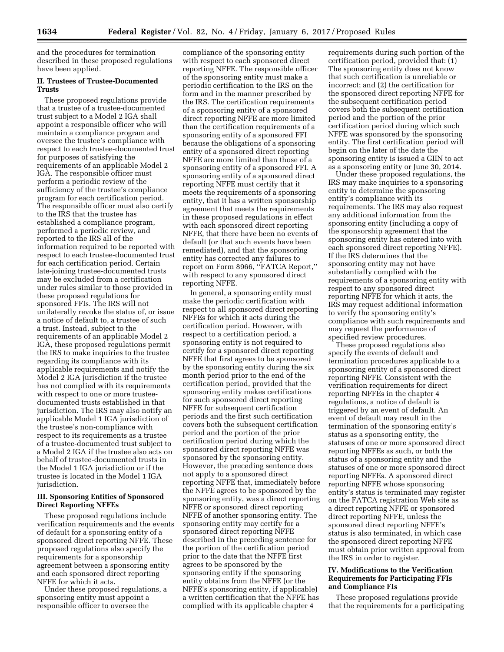and the procedures for termination described in these proposed regulations have been applied.

# **II. Trustees of Trustee-Documented Trusts**

These proposed regulations provide that a trustee of a trustee-documented trust subject to a Model 2 IGA shall appoint a responsible officer who will maintain a compliance program and oversee the trustee's compliance with respect to each trustee-documented trust for purposes of satisfying the requirements of an applicable Model 2 IGA. The responsible officer must perform a periodic review of the sufficiency of the trustee's compliance program for each certification period. The responsible officer must also certify to the IRS that the trustee has established a compliance program, performed a periodic review, and reported to the IRS all of the information required to be reported with respect to each trustee-documented trust for each certification period. Certain late-joining trustee-documented trusts may be excluded from a certification under rules similar to those provided in these proposed regulations for sponsored FFIs. The IRS will not unilaterally revoke the status of, or issue a notice of default to, a trustee of such a trust. Instead, subject to the requirements of an applicable Model 2 IGA, these proposed regulations permit the IRS to make inquiries to the trustee regarding its compliance with its applicable requirements and notify the Model 2 IGA jurisdiction if the trustee has not complied with its requirements with respect to one or more trusteedocumented trusts established in that jurisdiction. The IRS may also notify an applicable Model 1 IGA jurisdiction of the trustee's non-compliance with respect to its requirements as a trustee of a trustee-documented trust subject to a Model 2 IGA if the trustee also acts on behalf of trustee-documented trusts in the Model 1 IGA jurisdiction or if the trustee is located in the Model 1 IGA jurisdiction.

## **III. Sponsoring Entities of Sponsored Direct Reporting NFFEs**

These proposed regulations include verification requirements and the events of default for a sponsoring entity of a sponsored direct reporting NFFE. These proposed regulations also specify the requirements for a sponsorship agreement between a sponsoring entity and each sponsored direct reporting NFFE for which it acts.

Under these proposed regulations, a sponsoring entity must appoint a responsible officer to oversee the

compliance of the sponsoring entity with respect to each sponsored direct reporting NFFE. The responsible officer of the sponsoring entity must make a periodic certification to the IRS on the form and in the manner prescribed by the IRS. The certification requirements of a sponsoring entity of a sponsored direct reporting NFFE are more limited than the certification requirements of a sponsoring entity of a sponsored FFI because the obligations of a sponsoring entity of a sponsored direct reporting NFFE are more limited than those of a sponsoring entity of a sponsored FFI. A sponsoring entity of a sponsored direct reporting NFFE must certify that it meets the requirements of a sponsoring entity, that it has a written sponsorship agreement that meets the requirements in these proposed regulations in effect with each sponsored direct reporting NFFE, that there have been no events of default (or that such events have been remediated), and that the sponsoring entity has corrected any failures to report on Form 8966, ''FATCA Report,'' with respect to any sponsored direct reporting NFFE.

In general, a sponsoring entity must make the periodic certification with respect to all sponsored direct reporting NFFEs for which it acts during the certification period. However, with respect to a certification period, a sponsoring entity is not required to certify for a sponsored direct reporting NFFE that first agrees to be sponsored by the sponsoring entity during the six month period prior to the end of the certification period, provided that the sponsoring entity makes certifications for such sponsored direct reporting NFFE for subsequent certification periods and the first such certification covers both the subsequent certification period and the portion of the prior certification period during which the sponsored direct reporting NFFE was sponsored by the sponsoring entity. However, the preceding sentence does not apply to a sponsored direct reporting NFFE that, immediately before the NFFE agrees to be sponsored by the sponsoring entity, was a direct reporting NFFE or sponsored direct reporting NFFE of another sponsoring entity. The sponsoring entity may certify for a sponsored direct reporting NFFE described in the preceding sentence for the portion of the certification period prior to the date that the NFFE first agrees to be sponsored by the sponsoring entity if the sponsoring entity obtains from the NFFE (or the NFFE's sponsoring entity, if applicable) a written certification that the NFFE has complied with its applicable chapter 4

requirements during such portion of the certification period, provided that: (1) The sponsoring entity does not know that such certification is unreliable or incorrect; and (2) the certification for the sponsored direct reporting NFFE for the subsequent certification period covers both the subsequent certification period and the portion of the prior certification period during which such NFFE was sponsored by the sponsoring entity. The first certification period will begin on the later of the date the sponsoring entity is issued a GIIN to act as a sponsoring entity or June 30, 2014.

Under these proposed regulations, the IRS may make inquiries to a sponsoring entity to determine the sponsoring entity's compliance with its requirements. The IRS may also request any additional information from the sponsoring entity (including a copy of the sponsorship agreement that the sponsoring entity has entered into with each sponsored direct reporting NFFE). If the IRS determines that the sponsoring entity may not have substantially complied with the requirements of a sponsoring entity with respect to any sponsored direct reporting NFFE for which it acts, the IRS may request additional information to verify the sponsoring entity's compliance with such requirements and may request the performance of specified review procedures.

These proposed regulations also specify the events of default and termination procedures applicable to a sponsoring entity of a sponsored direct reporting NFFE. Consistent with the verification requirements for direct reporting NFFEs in the chapter 4 regulations, a notice of default is triggered by an event of default. An event of default may result in the termination of the sponsoring entity's status as a sponsoring entity, the statuses of one or more sponsored direct reporting NFFEs as such, or both the status of a sponsoring entity and the statuses of one or more sponsored direct reporting NFFEs. A sponsored direct reporting NFFE whose sponsoring entity's status is terminated may register on the FATCA registration Web site as a direct reporting NFFE or sponsored direct reporting NFFE, unless the sponsored direct reporting NFFE's status is also terminated, in which case the sponsored direct reporting NFFE must obtain prior written approval from the IRS in order to register.

## **IV. Modifications to the Verification Requirements for Participating FFIs and Compliance FIs**

These proposed regulations provide that the requirements for a participating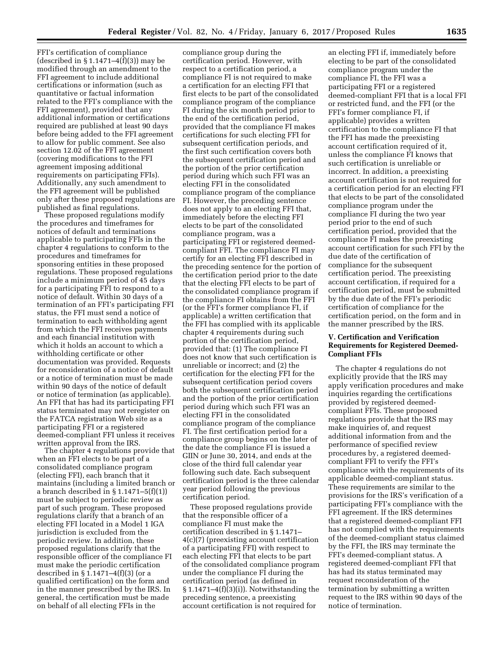FFI's certification of compliance (described in  $\S 1.1471 - 4(f)(3)$ ) may be modified through an amendment to the FFI agreement to include additional certifications or information (such as quantitative or factual information related to the FFI's compliance with the FFI agreement), provided that any additional information or certifications required are published at least 90 days before being added to the FFI agreement to allow for public comment. See also section 12.02 of the FFI agreement (covering modifications to the FFI agreement imposing additional requirements on participating FFIs). Additionally, any such amendment to the FFI agreement will be published only after these proposed regulations are published as final regulations.

These proposed regulations modify the procedures and timeframes for notices of default and terminations applicable to participating FFIs in the chapter 4 regulations to conform to the procedures and timeframes for sponsoring entities in these proposed regulations. These proposed regulations include a minimum period of 45 days for a participating FFI to respond to a notice of default. Within 30 days of a termination of an FFI's participating FFI status, the FFI must send a notice of termination to each withholding agent from which the FFI receives payments and each financial institution with which it holds an account to which a withholding certificate or other documentation was provided. Requests for reconsideration of a notice of default or a notice of termination must be made within 90 days of the notice of default or notice of termination (as applicable). An FFI that has had its participating FFI status terminated may not reregister on the FATCA registration Web site as a participating FFI or a registered deemed-compliant FFI unless it receives written approval from the IRS.

The chapter 4 regulations provide that when an FFI elects to be part of a consolidated compliance program (electing FFI), each branch that it maintains (including a limited branch or a branch described in  $\S 1.1471 - 5(f)(1)$ must be subject to periodic review as part of such program. These proposed regulations clarify that a branch of an electing FFI located in a Model 1 IGA jurisdiction is excluded from the periodic review. In addition, these proposed regulations clarify that the responsible officer of the compliance FI must make the periodic certification described in § 1.1471–4(f)(3) (or a qualified certification) on the form and in the manner prescribed by the IRS. In general, the certification must be made on behalf of all electing FFIs in the

compliance group during the certification period. However, with respect to a certification period, a compliance FI is not required to make a certification for an electing FFI that first elects to be part of the consolidated compliance program of the compliance FI during the six month period prior to the end of the certification period, provided that the compliance FI makes certifications for such electing FFI for subsequent certification periods, and the first such certification covers both the subsequent certification period and the portion of the prior certification period during which such FFI was an electing FFI in the consolidated compliance program of the compliance FI. However, the preceding sentence does not apply to an electing FFI that, immediately before the electing FFI elects to be part of the consolidated compliance program, was a participating FFI or registered deemedcompliant FFI. The compliance FI may certify for an electing FFI described in the preceding sentence for the portion of the certification period prior to the date that the electing FFI elects to be part of the consolidated compliance program if the compliance FI obtains from the FFI (or the FFI's former compliance FI, if applicable) a written certification that the FFI has complied with its applicable chapter 4 requirements during such portion of the certification period, provided that: (1) The compliance FI does not know that such certification is unreliable or incorrect; and (2) the certification for the electing FFI for the subsequent certification period covers both the subsequent certification period and the portion of the prior certification period during which such FFI was an electing FFI in the consolidated compliance program of the compliance FI. The first certification period for a compliance group begins on the later of the date the compliance FI is issued a GIIN or June 30, 2014, and ends at the close of the third full calendar year following such date. Each subsequent certification period is the three calendar year period following the previous certification period.

These proposed regulations provide that the responsible officer of a compliance FI must make the certification described in § 1.1471– 4(c)(7) (preexisting account certification of a participating FFI) with respect to each electing FFI that elects to be part of the consolidated compliance program under the compliance FI during the certification period (as defined in  $§ 1.1471–4(f)(3)(i)$ ). Notwithstanding the preceding sentence, a preexisting account certification is not required for

an electing FFI if, immediately before electing to be part of the consolidated compliance program under the compliance FI, the FFI was a participating FFI or a registered deemed-compliant FFI that is a local FFI or restricted fund, and the FFI (or the FFI's former compliance FI, if applicable) provides a written certification to the compliance FI that the FFI has made the preexisting account certification required of it, unless the compliance FI knows that such certification is unreliable or incorrect. In addition, a preexisting account certification is not required for a certification period for an electing FFI that elects to be part of the consolidated compliance program under the compliance FI during the two year period prior to the end of such certification period, provided that the compliance FI makes the preexisting account certification for such FFI by the due date of the certification of compliance for the subsequent certification period. The preexisting account certification, if required for a certification period, must be submitted by the due date of the FFI's periodic certification of compliance for the certification period, on the form and in the manner prescribed by the IRS.

# **V. Certification and Verification Requirements for Registered Deemed-Compliant FFIs**

The chapter 4 regulations do not explicitly provide that the IRS may apply verification procedures and make inquiries regarding the certifications provided by registered deemedcompliant FFIs. These proposed regulations provide that the IRS may make inquiries of, and request additional information from and the performance of specified review procedures by, a registered deemedcompliant FFI to verify the FFI's compliance with the requirements of its applicable deemed-compliant status. These requirements are similar to the provisions for the IRS's verification of a participating FFI's compliance with the FFI agreement. If the IRS determines that a registered deemed-compliant FFI has not complied with the requirements of the deemed-compliant status claimed by the FFI, the IRS may terminate the FFI's deemed-compliant status. A registered deemed-compliant FFI that has had its status terminated may request reconsideration of the termination by submitting a written request to the IRS within 90 days of the notice of termination.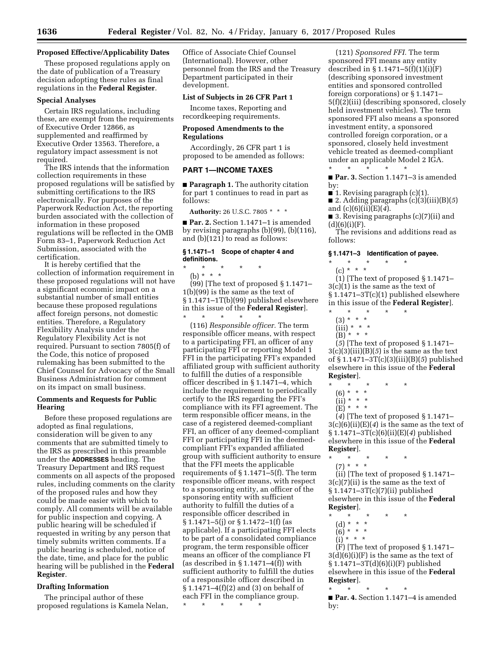## **Proposed Effective/Applicability Dates**

These proposed regulations apply on the date of publication of a Treasury decision adopting these rules as final regulations in the **Federal Register**.

## **Special Analyses**

Certain IRS regulations, including these, are exempt from the requirements of Executive Order 12866, as supplemented and reaffirmed by Executive Order 13563. Therefore, a regulatory impact assessment is not required.

The IRS intends that the information collection requirements in these proposed regulations will be satisfied by submitting certifications to the IRS electronically. For purposes of the Paperwork Reduction Act, the reporting burden associated with the collection of information in these proposed regulations will be reflected in the OMB Form 83–1, Paperwork Reduction Act Submission, associated with the certification.

It is hereby certified that the collection of information requirement in these proposed regulations will not have a significant economic impact on a substantial number of small entities because these proposed regulations affect foreign persons, not domestic entities. Therefore, a Regulatory Flexibility Analysis under the Regulatory Flexibility Act is not required. Pursuant to section 7805(f) of the Code, this notice of proposed rulemaking has been submitted to the Chief Counsel for Advocacy of the Small Business Administration for comment on its impact on small business.

## **Comments and Requests for Public Hearing**

Before these proposed regulations are adopted as final regulations, consideration will be given to any comments that are submitted timely to the IRS as prescribed in this preamble under the **ADDRESSES** heading. The Treasury Department and IRS request comments on all aspects of the proposed rules, including comments on the clarity of the proposed rules and how they could be made easier with which to comply. All comments will be available for public inspection and copying. A public hearing will be scheduled if requested in writing by any person that timely submits written comments. If a public hearing is scheduled, notice of the date, time, and place for the public hearing will be published in the **Federal Register**.

## **Drafting Information**

The principal author of these proposed regulations is Kamela Nelan, Office of Associate Chief Counsel (International). However, other personnel from the IRS and the Treasury Department participated in their development.

## **List of Subjects in 26 CFR Part 1**

Income taxes, Reporting and recordkeeping requirements.

## **Proposed Amendments to the Regulations**

Accordingly, 26 CFR part 1 is proposed to be amended as follows:

#### **PART 1—INCOME TAXES**

■ **Paragraph 1.** The authority citation for part 1 continues to read in part as follows:

**Authority:** 26 U.S.C. 7805 \* \* \*

■ **Par. 2.** Section 1.1471–1 is amended by revising paragraphs (b)(99), (b)(116), and  $(b)(121)$  to read as follows:

## **§ 1.1471–1 Scope of chapter 4 and definitions.**

\* \* \* \* \* (b) \* \* \*

(99) [The text of proposed § 1.1471– 1(b)(99) is the same as the text of § 1.1471–1T(b)(99) published elsewhere in this issue of the **Federal Register**]. \* \* \* \* \*

(116) *Responsible officer.* The term responsible officer means, with respect to a participating FFI, an officer of any participating FFI or reporting Model 1 FFI in the participating FFI's expanded affiliated group with sufficient authority to fulfill the duties of a responsible officer described in § 1.1471–4, which include the requirement to periodically certify to the IRS regarding the FFI's compliance with its FFI agreement. The term responsible officer means, in the case of a registered deemed-compliant FFI, an officer of any deemed-compliant FFI or participating FFI in the deemedcompliant FFI's expanded affiliated group with sufficient authority to ensure that the FFI meets the applicable requirements of § 1.1471–5(f). The term responsible officer means, with respect to a sponsoring entity, an officer of the sponsoring entity with sufficient authority to fulfill the duties of a responsible officer described in § 1.1471–5(j) or § 1.1472–1(f) (as applicable). If a participating FFI elects to be part of a consolidated compliance program, the term responsible officer means an officer of the compliance FI (as described in  $\S 1.1471-4(f)$ ) with sufficient authority to fulfill the duties of a responsible officer described in § 1.1471–4(f)(2) and (3) on behalf of each FFI in the compliance group. \* \* \* \* \*

(121) *Sponsored FFI.* The term sponsored FFI means any entity described in  $\S 1.1471 - 5(f)(1)(i)(F)$ (describing sponsored investment entities and sponsored controlled foreign corporations) or § 1.1471– 5(f)(2)(iii) (describing sponsored, closely held investment vehicles). The term sponsored FFI also means a sponsored investment entity, a sponsored controlled foreign corporation, or a sponsored, closely held investment vehicle treated as deemed-compliant under an applicable Model 2 IGA. \* \* \* \* \*

■ **Par. 3.** Section 1.1471–3 is amended by:

■ 1. Revising paragraph  $(c)(1)$ .

■ 2. Adding paragraphs (c)(3)(iii)(B)(*5*) and (c)(6)(ii)(E)(*4*).

■ 3. Revising paragraphs (c)(7)(ii) and  $(d)(6)(i)(F).$ 

The revisions and additions read as follows:

### **§ 1.1471–3 Identification of payee.**

\* \* \* \* \* (c) \* \* \*

(1) [The text of proposed § 1.1471– 3(c)(1) is the same as the text of § 1.1471–3T(c)(1) published elsewhere in this issue of the **Federal Register**]. \* \* \* \* \*

- 
- (3) \* \* \*
- (iii) \* \* \* (B) \* \* \*

(*5*) [The text of proposed § 1.1471– 3(c)(3)(iii)(B)(*5*) is the same as the text of § 1.1471–3T(c)(3)(iii)(B)(*5*) published elsewhere in this issue of the **Federal Register**].

- \* \* \* \* \*
	- (6) \* \* \*
- (ii) \* \* \*
- (E) \* \* \*

(*4*) [The text of proposed § 1.1471– 3(c)(6)(ii)(E)(*4*) is the same as the text of § 1.1471–3T(c)(6)(ii)(E)(*4*) published elsewhere in this issue of the **Federal Register**].

\* \* \* \* \*

(7) \* \* \* (ii) [The text of proposed § 1.1471– 3(c)(7)(ii) is the same as the text of § 1.1471–3T(c)(7)(ii) published elsewhere in this issue of the **Federal Register**].

- \* \* \* \* \*
	- (d) \* \* \*
	- $(6)^*$  \* \* \*
	- $(i)$  \* \* \*

 $(F)$  [The text of proposed § 1.1471– 3(d)(6)(i)(F) is the same as the text of § 1.1471–3T(d)(6)(i)(F) published elsewhere in this issue of the **Federal Register**].

\* \* \* \* \* ■ **Par. 4.** Section 1.1471–4 is amended by: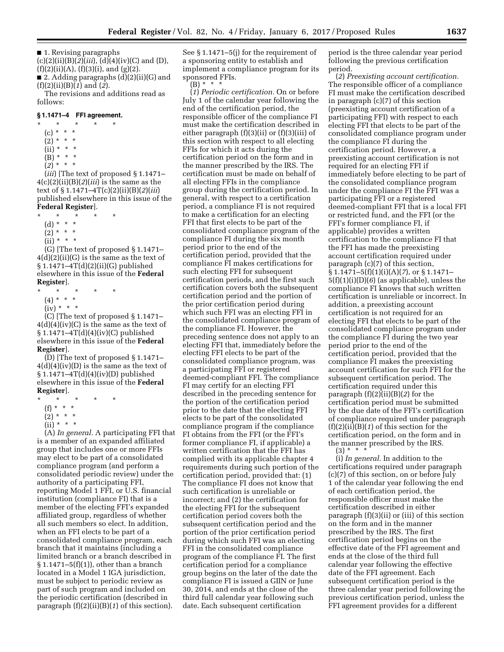■ 1. Revising paragraphs (c)(2)(ii)(B)(*2*)(*iii*), (d)(4)(iv)(C) and (D),  $(f)(2)(ii)(A), (f)(3)(i), and (g)(2).$ ■ 2. Adding paragraphs (d)(2)(ii)(G) and (f)(2)(ii)(B)(*1*) and (*2*).

The revisions and additions read as follows:

## **§ 1.1471–4 FFI agreement.**

\* \* \* \* \*  $(c) * * * *$  $(2) * * * *$  $(ii) * * * *$  $(B) * * * *$  $(2) * * * *$ 

(*iii*) [The text of proposed § 1.1471–  $4(c)(2)(ii)(B)(2)(iii)$  is the same as the text of § 1.1471–4T(c)(2)(ii)(B)(*2*)(*iii*) published elsewhere in this issue of the **Federal Register**].

- \* \* \* \* \*
- (d) \* \* \*
- $(2) * * * *$
- (ii) \* \* \*

(G) [The text of proposed § 1.1471– 4(d)(2)(ii)(G) is the same as the text of § 1.1471–4T(d)(2)(ii)(G) published elsewhere in this issue of the **Federal Register**].

- \* \* \* \* \* (4) \* \* \*
	- $(iv) * * * *$

(C) [The text of proposed § 1.1471–  $4(d)(4)(iv)(C)$  is the same as the text of § 1.1471–4T(d)(4)(iv)(C) published elsewhere in this issue of the **Federal Register**].

(D) [The text of proposed § 1.1471–  $4(d)(4)(iv)(D)$  is the same as the text of § 1.1471–4T(d)(4)(iv)(D) published elsewhere in this issue of the **Federal Register**].

- \* \* \* \* \*
	- (f) \* \* \*
	- (2) \* \* \*
	- (ii) \* \* \*

(A) *In general.* A participating FFI that is a member of an expanded affiliated group that includes one or more FFIs may elect to be part of a consolidated compliance program (and perform a consolidated periodic review) under the authority of a participating FFI, reporting Model 1 FFI, or U.S. financial institution (compliance FI) that is a member of the electing FFI's expanded affiliated group, regardless of whether all such members so elect. In addition, when an FFI elects to be part of a consolidated compliance program, each branch that it maintains (including a limited branch or a branch described in  $\S 1.1471 - 5(f)(1)$ , other than a branch located in a Model 1 IGA jurisdiction, must be subject to periodic review as part of such program and included on the periodic certification (described in paragraph (f)(2)(ii)(B)(*1*) of this section).

See § 1.1471–5(j) for the requirement of a sponsoring entity to establish and implement a compliance program for its sponsored FFIs.  $(B) * * * *$ 

(*1*) *Periodic certification.* On or before July 1 of the calendar year following the end of the certification period, the responsible officer of the compliance FI must make the certification described in either paragraph (f)(3)(ii) or (f)(3)(iii) of this section with respect to all electing FFIs for which it acts during the certification period on the form and in the manner prescribed by the IRS. The certification must be made on behalf of all electing FFIs in the compliance group during the certification period. In general, with respect to a certification period, a compliance FI is not required to make a certification for an electing FFI that first elects to be part of the consolidated compliance program of the compliance FI during the six month period prior to the end of the certification period, provided that the compliance FI makes certifications for such electing FFI for subsequent certification periods, and the first such certification covers both the subsequent certification period and the portion of the prior certification period during which such FFI was an electing FFI in the consolidated compliance program of the compliance FI. However, the preceding sentence does not apply to an electing FFI that, immediately before the electing FFI elects to be part of the consolidated compliance program, was a participating FFI or registered deemed-compliant FFI. The compliance FI may certify for an electing FFI described in the preceding sentence for the portion of the certification period prior to the date that the electing FFI elects to be part of the consolidated compliance program if the compliance FI obtains from the FFI (or the FFI's former compliance FI, if applicable) a written certification that the FFI has complied with its applicable chapter 4 requirements during such portion of the certification period, provided that: (1) The compliance FI does not know that such certification is unreliable or incorrect; and (2) the certification for the electing FFI for the subsequent certification period covers both the subsequent certification period and the portion of the prior certification period during which such FFI was an electing FFI in the consolidated compliance program of the compliance FI. The first certification period for a compliance group begins on the later of the date the compliance FI is issued a GIIN or June 30, 2014, and ends at the close of the third full calendar year following such date. Each subsequent certification

period is the three calendar year period following the previous certification period.

(*2*) *Preexisting account certification.*  The responsible officer of a compliance FI must make the certification described in paragraph (c)(7) of this section (preexisting account certification of a participating FFI) with respect to each electing FFI that elects to be part of the consolidated compliance program under the compliance FI during the certification period. However, a preexisting account certification is not required for an electing FFI if immediately before electing to be part of the consolidated compliance program under the compliance FI the FFI was a participating FFI or a registered deemed-compliant FFI that is a local FFI or restricted fund, and the FFI (or the FFI's former compliance FI, if applicable) provides a written certification to the compliance FI that the FFI has made the preexisting account certification required under paragraph (c)(7) of this section, § 1.1471–5(f)(1)(i)(A)(*7*), or § 1.1471– 5(f)(1)(i)(D)(*6*) (as applicable), unless the compliance FI knows that such written certification is unreliable or incorrect. In addition, a preexisting account certification is not required for an electing FFI that elects to be part of the consolidated compliance program under the compliance FI during the two year period prior to the end of the certification period, provided that the compliance FI makes the preexisting account certification for such FFI for the subsequent certification period. The certification required under this paragraph (f)(2)(ii)(B)(*2*) for the certification period must be submitted by the due date of the FFI's certification of compliance required under paragraph (f)(2)(ii)(B)(*1*) of this section for the certification period, on the form and in the manner prescribed by the IRS.  $(3) * * * *$ 

(i) *In general.* In addition to the certifications required under paragraph (c)(7) of this section, on or before July 1 of the calendar year following the end of each certification period, the responsible officer must make the certification described in either paragraph (f)(3)(ii) or (iii) of this section on the form and in the manner prescribed by the IRS. The first certification period begins on the effective date of the FFI agreement and ends at the close of the third full calendar year following the effective date of the FFI agreement. Each subsequent certification period is the three calendar year period following the previous certification period, unless the FFI agreement provides for a different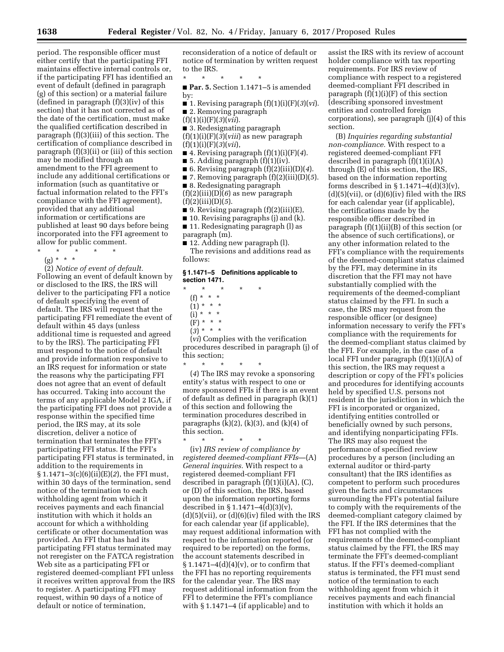period. The responsible officer must either certify that the participating FFI maintains effective internal controls or, if the participating FFI has identified an event of default (defined in paragraph (g) of this section) or a material failure (defined in paragraph (f)(3)(iv) of this section) that it has not corrected as of the date of the certification, must make the qualified certification described in paragraph (f)(3)(iii) of this section. The certification of compliance described in paragraph (f)(3)(ii) or (iii) of this section may be modified through an amendment to the FFI agreement to include any additional certifications or information (such as quantitative or factual information related to the FFI's compliance with the FFI agreement), provided that any additional information or certifications are published at least 90 days before being incorporated into the FFI agreement to allow for public comment.

- \* \* \* \* \*
	- (g) \* \* \*

(2) *Notice of event of default.*  Following an event of default known by or disclosed to the IRS, the IRS will deliver to the participating FFI a notice of default specifying the event of default. The IRS will request that the participating FFI remediate the event of default within 45 days (unless additional time is requested and agreed to by the IRS). The participating FFI must respond to the notice of default and provide information responsive to an IRS request for information or state the reasons why the participating FFI does not agree that an event of default has occurred. Taking into account the terms of any applicable Model 2 IGA, if the participating FFI does not provide a response within the specified time period, the IRS may, at its sole discretion, deliver a notice of termination that terminates the FFI's participating FFI status. If the FFI's participating FFI status is terminated, in addition to the requirements in § 1.1471–3(c)(6)(ii)(E)(*2*), the FFI must, within 30 days of the termination, send notice of the termination to each withholding agent from which it receives payments and each financial institution with which it holds an account for which a withholding certificate or other documentation was provided. An FFI that has had its participating FFI status terminated may not reregister on the FATCA registration Web site as a participating FFI or registered deemed-compliant FFI unless it receives written approval from the IRS to register. A participating FFI may request, within 90 days of a notice of default or notice of termination,

reconsideration of a notice of default or notice of termination by written request to the IRS.

\* \* \* \* \* ■ **Par. 5.** Section 1.1471–5 is amended

by:

■ 1. Revising paragraph (f)(1)(i)(F)(*3*)(*vi*). ■ 2. Removing paragraph

- 
- $(f)(1)(i)(F)(3)(vii).$
- 3. Redesignating paragraph

(f)(1)(i)(F)(*3*)(*viii*) as new paragraph (f)(1)(i)(F)(*3*)(*vii*),

- 4. Revising paragraph (f)(1)(i)(F)(*4*).
- 5. Adding paragraph  $(f)(1)(iv)$ .
- 6. Revising paragraph (f)(2)(iii)(D)(*4*).
- 7. Removing paragraph (f)(2)(iii)(D)(*5*).

■ 8. Redesignating paragraph  $(f)(2)(iii)(D)(6)$  as new paragraph

(f)(2)(iii)(D)(*5*).

■ 9. Revising paragraph (f)(2)(iii)(E),

■ 10. Revising paragraphs (j) and (k).

■ 11. Redesignating paragraph (l) as paragraph (m).

■ 12. Adding new paragraph (l).

The revisions and additions read as follows:

## **§ 1.1471–5 Definitions applicable to section 1471.**

- \* \* \* \* \* (f) \* \* \*  $(1) * * * *$ 
	- $(i) * * * *$
	- (F) \* \* \*
	- (*3*) \* \* \*

(*vi*) Complies with the verification procedures described in paragraph (j) of this section;

\* \* \* \* \* (*4*) The IRS may revoke a sponsoring entity's status with respect to one or more sponsored FFIs if there is an event of default as defined in paragraph (k)(1) of this section and following the termination procedures described in paragraphs  $(k)(2)$ ,  $(k)(3)$ , and  $(k)(4)$  of this section.

\* \* \* \* \* (iv) *IRS review of compliance by registered deemed-compliant FFIs*—(A) *General inquiries.* With respect to a registered deemed-compliant FFI described in paragraph  $(f)(1)(i)(A)$ ,  $(C)$ , or (D) of this section, the IRS, based upon the information reporting forms described in § 1.1471–4(d)(3)(v),  $(d)(5)(vii)$ , or  $(d)(6)(iv)$  filed with the IRS for each calendar year (if applicable), may request additional information with respect to the information reported (or required to be reported) on the forms, the account statements described in  $\S 1.1471 - 4(d)(4)(v)$ , or to confirm that the FFI has no reporting requirements for the calendar year. The IRS may request additional information from the FFI to determine the FFI's compliance with § 1.1471–4 (if applicable) and to

assist the IRS with its review of account holder compliance with tax reporting requirements. For IRS review of compliance with respect to a registered deemed-compliant FFI described in paragraph  $(f)(i)(f)$  of this section (describing sponsored investment entities and controlled foreign corporations), see paragraph (j)(4) of this section.

(B) *Inquiries regarding substantial non-compliance.* With respect to a registered deemed-compliant FFI described in paragraph  $(f)(1)(i)(A)$ through (E) of this section, the IRS, based on the information reporting forms described in  $\S 1.1471-4(d)(3)(v)$ ,  $(d)(5)(vii)$ , or  $(d)(6)(iv)$  filed with the IRS for each calendar year (if applicable), the certifications made by the responsible officer described in paragraph (f)(1)(ii)(B) of this section (or the absence of such certifications), or any other information related to the FFI's compliance with the requirements of the deemed-compliant status claimed by the FFI, may determine in its discretion that the FFI may not have substantially complied with the requirements of the deemed-compliant status claimed by the FFI. In such a case, the IRS may request from the responsible officer (or designee) information necessary to verify the FFI's compliance with the requirements for the deemed-compliant status claimed by the FFI. For example, in the case of a local FFI under paragraph (f)(1)(i)(A) of this section, the IRS may request a description or copy of the FFI's policies and procedures for identifying accounts held by specified U.S. persons not resident in the jurisdiction in which the FFI is incorporated or organized, identifying entities controlled or beneficially owned by such persons, and identifying nonparticipating FFIs. The IRS may also request the performance of specified review procedures by a person (including an external auditor or third-party consultant) that the IRS identifies as competent to perform such procedures given the facts and circumstances surrounding the FFI's potential failure to comply with the requirements of the deemed-compliant category claimed by the FFI. If the IRS determines that the FFI has not complied with the requirements of the deemed-compliant status claimed by the FFI, the IRS may terminate the FFI's deemed-compliant status. If the FFI's deemed-compliant status is terminated, the FFI must send notice of the termination to each withholding agent from which it receives payments and each financial institution with which it holds an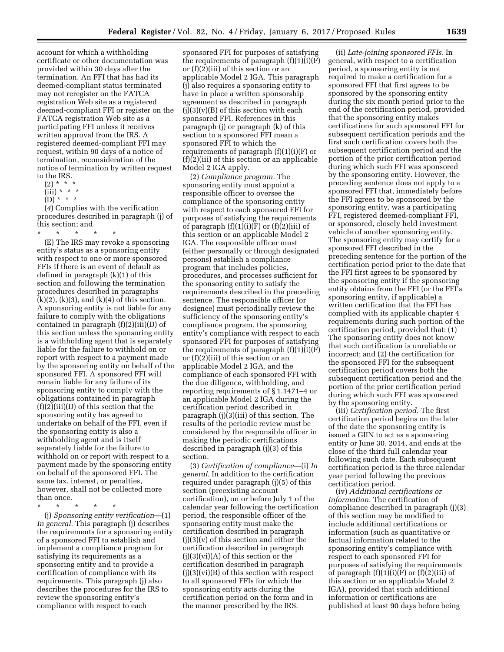account for which a withholding certificate or other documentation was provided within 30 days after the termination. An FFI that has had its deemed-compliant status terminated may not reregister on the FATCA registration Web site as a registered deemed-compliant FFI or register on the FATCA registration Web site as a participating FFI unless it receives written approval from the IRS. A registered deemed-compliant FFI may request, within 90 days of a notice of termination, reconsideration of the notice of termination by written request to the IRS.

- $(2) * * * *$
- $(iii) * * * *$
- $(D) * * * *$

(*4*) Complies with the verification procedures described in paragraph (j) of this section; and

- \* \* \* \* \* (E) The IRS may revoke a sponsoring entity's status as a sponsoring entity with respect to one or more sponsored FFIs if there is an event of default as defined in paragraph (k)(1) of this section and following the termination procedures described in paragraphs  $(k)(2)$ ,  $(k)(3)$ , and  $(k)(4)$  of this section. A sponsoring entity is not liable for any failure to comply with the obligations contained in paragraph (f)(2)(iii)(D) of this section unless the sponsoring entity is a withholding agent that is separately liable for the failure to withhold on or report with respect to a payment made by the sponsoring entity on behalf of the sponsored FFI. A sponsored FFI will remain liable for any failure of its sponsoring entity to comply with the obligations contained in paragraph (f)(2)(iii)(D) of this section that the sponsoring entity has agreed to undertake on behalf of the FFI, even if the sponsoring entity is also a withholding agent and is itself separately liable for the failure to withhold on or report with respect to a payment made by the sponsoring entity on behalf of the sponsored FFI. The same tax, interest, or penalties, however, shall not be collected more than once.
- \* \* \* \* \*

(j) *Sponsoring entity verification*—(1) *In general.* This paragraph (j) describes the requirements for a sponsoring entity of a sponsored FFI to establish and implement a compliance program for satisfying its requirements as a sponsoring entity and to provide a certification of compliance with its requirements. This paragraph (j) also describes the procedures for the IRS to review the sponsoring entity's compliance with respect to each

sponsored FFI for purposes of satisfying the requirements of paragraph  $(f)(1)(i)(F)$ or (f)(2)(iii) of this section or an applicable Model 2 IGA. This paragraph (j) also requires a sponsoring entity to have in place a written sponsorship agreement as described in paragraph  $(j)(3)(v)(B)$  of this section with each sponsored FFI. References in this paragraph (j) or paragraph (k) of this section to a sponsored FFI mean a sponsored FFI to which the requirements of paragraph (f)(1)(i)(F) or (f)(2)(iii) of this section or an applicable Model 2 IGA apply.

(2) *Compliance program.* The sponsoring entity must appoint a responsible officer to oversee the compliance of the sponsoring entity with respect to each sponsored FFI for purposes of satisfying the requirements of paragraph  $(f)(1)(i)(F)$  or  $(f)(2)(iii)$  of this section or an applicable Model 2 IGA. The responsible officer must (either personally or through designated persons) establish a compliance program that includes policies, procedures, and processes sufficient for the sponsoring entity to satisfy the requirements described in the preceding sentence. The responsible officer (or designee) must periodically review the sufficiency of the sponsoring entity's compliance program, the sponsoring entity's compliance with respect to each sponsored FFI for purposes of satisfying the requirements of paragraph  $(f)(1)(i)(F)$ or (f)(2)(iii) of this section or an applicable Model 2 IGA, and the compliance of each sponsored FFI with the due diligence, withholding, and reporting requirements of § 1.1471–4 or an applicable Model 2 IGA during the certification period described in paragraph (j)(3)(iii) of this section. The results of the periodic review must be considered by the responsible officer in making the periodic certifications described in paragraph (j)(3) of this section.

(3) *Certification of compliance*—(i) *In general.* In addition to the certification required under paragraph (j)(5) of this section (preexisting account certification), on or before July 1 of the calendar year following the certification period, the responsible officer of the sponsoring entity must make the certification described in paragraph (j)(3)(v) of this section and either the certification described in paragraph  $(j)(3)(vi)(A)$  of this section or the certification described in paragraph (j)(3)(vi)(B) of this section with respect to all sponsored FFIs for which the sponsoring entity acts during the certification period on the form and in the manner prescribed by the IRS.

(ii) *Late-joining sponsored FFIs.* In general, with respect to a certification period, a sponsoring entity is not required to make a certification for a sponsored FFI that first agrees to be sponsored by the sponsoring entity during the six month period prior to the end of the certification period, provided that the sponsoring entity makes certifications for such sponsored FFI for subsequent certification periods and the first such certification covers both the subsequent certification period and the portion of the prior certification period during which such FFI was sponsored by the sponsoring entity. However, the preceding sentence does not apply to a sponsored FFI that, immediately before the FFI agrees to be sponsored by the sponsoring entity, was a participating FFI, registered deemed-compliant FFI, or sponsored, closely held investment vehicle of another sponsoring entity. The sponsoring entity may certify for a sponsored FFI described in the preceding sentence for the portion of the certification period prior to the date that the FFI first agrees to be sponsored by the sponsoring entity if the sponsoring entity obtains from the FFI (or the FFI's sponsoring entity, if applicable) a written certification that the FFI has complied with its applicable chapter 4 requirements during such portion of the certification period, provided that: (1) The sponsoring entity does not know that such certification is unreliable or incorrect; and (2) the certification for the sponsored FFI for the subsequent certification period covers both the subsequent certification period and the portion of the prior certification period during which such FFI was sponsored by the sponsoring entity.

(iii) *Certification period.* The first certification period begins on the later of the date the sponsoring entity is issued a GIIN to act as a sponsoring entity or June 30, 2014, and ends at the close of the third full calendar year following such date. Each subsequent certification period is the three calendar year period following the previous certification period.

(iv) *Additional certifications or information.* The certification of compliance described in paragraph (j)(3) of this section may be modified to include additional certifications or information (such as quantitative or factual information related to the sponsoring entity's compliance with respect to each sponsored FFI for purposes of satisfying the requirements of paragraph  $(f)(1)(i)(F)$  or  $(f)(2)(iii)$  of this section or an applicable Model 2 IGA), provided that such additional information or certifications are published at least 90 days before being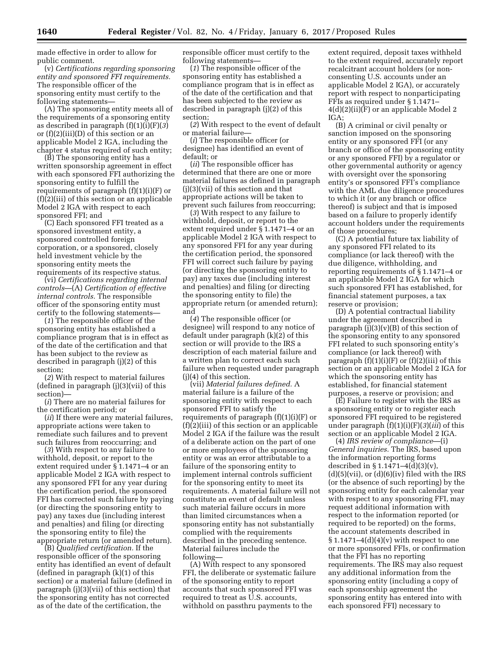made effective in order to allow for public comment.

(v) *Certifications regarding sponsoring entity and sponsored FFI requirements.*  The responsible officer of the sponsoring entity must certify to the following statements—

(A) The sponsoring entity meets all of the requirements of a sponsoring entity as described in paragraph (f)(1)(i)(F)(*3*) or (f)(2)(iii)(D) of this section or an applicable Model 2 IGA, including the chapter 4 status required of such entity;

(B) The sponsoring entity has a written sponsorship agreement in effect with each sponsored FFI authorizing the sponsoring entity to fulfill the requirements of paragraph  $(f)(1)(i)(F)$  or (f)(2)(iii) of this section or an applicable Model 2 IGA with respect to each sponsored FFI; and

(C) Each sponsored FFI treated as a sponsored investment entity, a sponsored controlled foreign corporation, or a sponsored, closely held investment vehicle by the sponsoring entity meets the requirements of its respective status.

(vi) *Certifications regarding internal controls*—(A) *Certification of effective internal controls.* The responsible officer of the sponsoring entity must certify to the following statements—

(*1*) The responsible officer of the sponsoring entity has established a compliance program that is in effect as of the date of the certification and that has been subject to the review as described in paragraph (j)(2) of this section;

(*2*) With respect to material failures (defined in paragraph (j)(3)(vii) of this section)—

(*i*) There are no material failures for the certification period; or

(*ii*) If there were any material failures, appropriate actions were taken to remediate such failures and to prevent such failures from reoccurring; and

(*3*) With respect to any failure to withhold, deposit, or report to the extent required under § 1.1471–4 or an applicable Model 2 IGA with respect to any sponsored FFI for any year during the certification period, the sponsored FFI has corrected such failure by paying (or directing the sponsoring entity to pay) any taxes due (including interest and penalties) and filing (or directing the sponsoring entity to file) the appropriate return (or amended return).

(B) *Qualified certification.* If the responsible officer of the sponsoring entity has identified an event of default (defined in paragraph (k)(1) of this section) or a material failure (defined in paragraph (j)(3)(vii) of this section) that the sponsoring entity has not corrected as of the date of the certification, the

responsible officer must certify to the following statements—

(*1*) The responsible officer of the sponsoring entity has established a compliance program that is in effect as of the date of the certification and that has been subjected to the review as described in paragraph (j)(2) of this section;

(*2*) With respect to the event of default or material failure—

(*i*) The responsible officer (or designee) has identified an event of default; or

(*ii*) The responsible officer has determined that there are one or more material failures as defined in paragraph (j)(3)(vii) of this section and that appropriate actions will be taken to prevent such failures from reoccurring;

(*3*) With respect to any failure to withhold, deposit, or report to the extent required under § 1.1471–4 or an applicable Model 2 IGA with respect to any sponsored FFI for any year during the certification period, the sponsored FFI will correct such failure by paying (or directing the sponsoring entity to pay) any taxes due (including interest and penalties) and filing (or directing the sponsoring entity to file) the appropriate return (or amended return); and

(*4*) The responsible officer (or designee) will respond to any notice of default under paragraph (k)(2) of this section or will provide to the IRS a description of each material failure and a written plan to correct each such failure when requested under paragraph (j)(4) of this section.

(vii) *Material failures defined.* A material failure is a failure of the sponsoring entity with respect to each sponsored FFI to satisfy the requirements of paragraph (f)(1)(i)(F) or (f)(2)(iii) of this section or an applicable Model 2 IGA if the failure was the result of a deliberate action on the part of one or more employees of the sponsoring entity or was an error attributable to a failure of the sponsoring entity to implement internal controls sufficient for the sponsoring entity to meet its requirements. A material failure will not constitute an event of default unless such material failure occurs in more than limited circumstances when a sponsoring entity has not substantially complied with the requirements described in the preceding sentence. Material failures include the following—

(A) With respect to any sponsored FFI, the deliberate or systematic failure of the sponsoring entity to report accounts that such sponsored FFI was required to treat as U.S. accounts, withhold on passthru payments to the

extent required, deposit taxes withheld to the extent required, accurately report recalcitrant account holders (or nonconsenting U.S. accounts under an applicable Model 2 IGA), or accurately report with respect to nonparticipating FFIs as required under § 1.1471– 4(d)(2)(ii)(F) or an applicable Model 2 IGA;

(B) A criminal or civil penalty or sanction imposed on the sponsoring entity or any sponsored FFI (or any branch or office of the sponsoring entity or any sponsored FFI) by a regulator or other governmental authority or agency with oversight over the sponsoring entity's or sponsored FFI's compliance with the AML due diligence procedures to which it (or any branch or office thereof) is subject and that is imposed based on a failure to properly identify account holders under the requirements of those procedures;

(C) A potential future tax liability of any sponsored FFI related to its compliance (or lack thereof) with the due diligence, withholding, and reporting requirements of § 1.1471–4 or an applicable Model 2 IGA for which such sponsored FFI has established, for financial statement purposes, a tax reserve or provision;

(D) A potential contractual liability under the agreement described in paragraph  $(i)(3)(v)(B)$  of this section of the sponsoring entity to any sponsored FFI related to such sponsoring entity's compliance (or lack thereof) with paragraph  $(f)(1)(i)(F)$  or  $(f)(2)(iii)$  of this section or an applicable Model 2 IGA for which the sponsoring entity has established, for financial statement purposes, a reserve or provision; and

(E) Failure to register with the IRS as a sponsoring entity or to register each sponsored FFI required to be registered under paragraph (f)(1)(i)(F)(*3*)(*iii*) of this section or an applicable Model 2 IGA.

(4) *IRS review of compliance*—(i) *General inquiries.* The IRS, based upon the information reporting forms described in § 1.1471–4(d)(3)(v),  $(d)(5)(\n$ ii), or  $(d)(6)(\n)$  filed with the IRS (or the absence of such reporting) by the sponsoring entity for each calendar year with respect to any sponsoring FFI, may request additional information with respect to the information reported (or required to be reported) on the forms, the account statements described in  $\S 1.1471-4(d)(4)(v)$  with respect to one or more sponsored FFIs, or confirmation that the FFI has no reporting requirements. The IRS may also request any additional information from the sponsoring entity (including a copy of each sponsorship agreement the sponsoring entity has entered into with each sponsored FFI) necessary to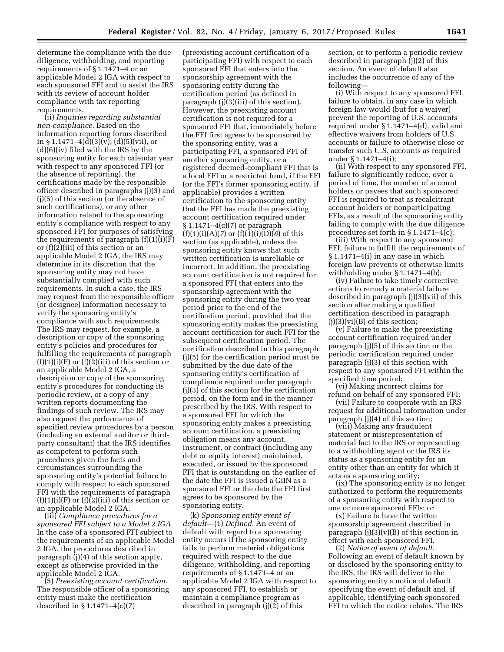determine the compliance with the due diligence, withholding, and reporting requirements of § 1.1471–4 or an applicable Model 2 IGA with respect to each sponsored FFI and to assist the IRS with its review of account holder compliance with tax reporting requirements.

(ii) *Inquiries regarding substantial non-compliance.* Based on the information reporting forms described in § 1.1471–4(d)(3)(v), (d)(5)(vii), or (d)(6)(iv) filed with the IRS by the sponsoring entity for each calendar year with respect to any sponsored FFI (or the absence of reporting), the certifications made by the responsible officer described in paragraphs (j)(3) and (j)(5) of this section (or the absence of such certifications), or any other information related to the sponsoring entity's compliance with respect to any sponsored FFI for purposes of satisfying the requirements of paragraph  $(f)(1)(i)(F)$ or (f)(2)(iii) of this section or an applicable Model 2 IGA, the IRS may determine in its discretion that the sponsoring entity may not have substantially complied with such requirements. In such a case, the IRS may request from the responsible officer (or designee) information necessary to verify the sponsoring entity's compliance with such requirements. The IRS may request, for example, a description or copy of the sponsoring entity's policies and procedures for fulfilling the requirements of paragraph  $(f)(1)(i)(F)$  or  $(f)(2)(iii)$  of this section or an applicable Model 2 IGA, a description or copy of the sponsoring entity's procedures for conducting its periodic review, or a copy of any written reports documenting the findings of such review. The IRS may also request the performance of specified review procedures by a person (including an external auditor or thirdparty consultant) that the IRS identifies as competent to perform such procedures given the facts and circumstances surrounding the sponsoring entity's potential failure to comply with respect to each sponsored FFI with the requirements of paragraph  $(f)(1)(i)(F)$  or  $(f)(2)(iii)$  of this section or an applicable Model 2 IGA.

(iii) *Compliance procedures for a sponsored FFI subject to a Model 2 IGA.*  In the case of a sponsored FFI subject to the requirements of an applicable Model 2 IGA, the procedures described in paragraph (j)(4) of this section apply, except as otherwise provided in the applicable Model 2 IGA.

(5) *Preexisting account certification.*  The responsible officer of a sponsoring entity must make the certification described in § 1.1471–4(c)(7)

(preexisting account certification of a participating FFI) with respect to each sponsored FFI that enters into the sponsorship agreement with the sponsoring entity during the certification period (as defined in paragraph (j)(3)(iii) of this section). However, the preexisting account certification is not required for a sponsored FFI that, immediately before the FFI first agrees to be sponsored by the sponsoring entity, was a participating FFI, a sponsored FFI of another sponsoring entity, or a registered deemed-compliant FFI that is a local FFI or a restricted fund, if the FFI (or the FFI's former sponsoring entity, if applicable) provides a written certification to the sponsoring entity that the FFI has made the preexisting account certification required under § 1.1471–4(c)(7) or paragraph (f)(1)(i)(A)(*7*) or (f)(1)(i)(D)(*6*) of this section (as applicable), unless the sponsoring entity knows that such written certification is unreliable or incorrect. In addition, the preexisting account certification is not required for a sponsored FFI that enters into the sponsorship agreement with the sponsoring entity during the two year period prior to the end of the certification period, provided that the sponsoring entity makes the preexisting account certification for such FFI for the subsequent certification period. The certification described in this paragraph (j)(5) for the certification period must be submitted by the due date of the sponsoring entity's certification of compliance required under paragraph (j)(3) of this section for the certification period, on the form and in the manner prescribed by the IRS. With respect to a sponsored FFI for which the sponsoring entity makes a preexisting account certification, a preexisting obligation means any account, instrument, or contract (including any debt or equity interest) maintained, executed, or issued by the sponsored FFI that is outstanding on the earlier of the date the FFI is issued a GIIN as a sponsored FFI or the date the FFI first agrees to be sponsored by the sponsoring entity.

(k) *Sponsoring entity event of default*—(1) *Defined.* An event of default with regard to a sponsoring entity occurs if the sponsoring entity fails to perform material obligations required with respect to the due diligence, withholding, and reporting requirements of § 1.1471–4 or an applicable Model 2 IGA with respect to any sponsored FFI, to establish or maintain a compliance program as described in paragraph (j)(2) of this

section, or to perform a periodic review described in paragraph (j)(2) of this section. An event of default also includes the occurrence of any of the following—

(i) With respect to any sponsored FFI, failure to obtain, in any case in which foreign law would (but for a waiver) prevent the reporting of U.S. accounts required under § 1.1471–4(d), valid and effective waivers from holders of U.S. accounts or failure to otherwise close or transfer such U.S. accounts as required under § 1.1471–4(i);

(ii) With respect to any sponsored FFI, failure to significantly reduce, over a period of time, the number of account holders or payees that such sponsored FFI is required to treat as recalcitrant account holders or nonparticipating FFIs, as a result of the sponsoring entity failing to comply with the due diligence procedures set forth in § 1.1471–4(c);

(iii) With respect to any sponsored FFI, failure to fulfill the requirements of § 1.1471–4(i) in any case in which foreign law prevents or otherwise limits withholding under § 1.1471–4(b);

(iv) Failure to take timely corrective actions to remedy a material failure described in paragraph (j)(3)(vii) of this section after making a qualified certification described in paragraph  $(j)(3)(vi)(B)$  of this section;

(v) Failure to make the preexisting account certification required under paragraph (j)(5) of this section or the periodic certification required under paragraph (j)(3) of this section with respect to any sponsored FFI within the specified time period;

(vi) Making incorrect claims for refund on behalf of any sponsored FFI;

(vii) Failure to cooperate with an IRS request for additional information under paragraph (j)(4) of this section;

(viii) Making any fraudulent statement or misrepresentation of material fact to the IRS or representing to a withholding agent or the IRS its status as a sponsoring entity for an entity other than an entity for which it acts as a sponsoring entity;

(ix) The sponsoring entity is no longer authorized to perform the requirements of a sponsoring entity with respect to one or more sponsored FFIs; or

(x) Failure to have the written sponsorship agreement described in paragraph  $(i)(3)(v)(B)$  of this section in effect with each sponsored FFI.

(2) *Notice of event of default.*  Following an event of default known by or disclosed by the sponsoring entity to the IRS, the IRS will deliver to the sponsoring entity a notice of default specifying the event of default and, if applicable, identifying each sponsored FFI to which the notice relates. The IRS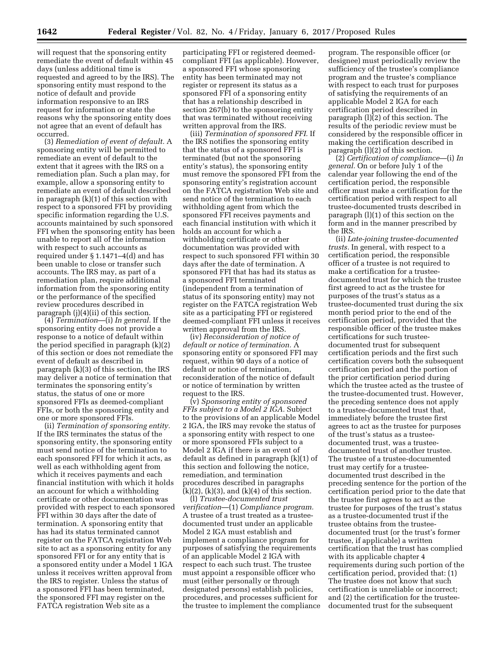will request that the sponsoring entity remediate the event of default within 45 days (unless additional time is requested and agreed to by the IRS). The sponsoring entity must respond to the notice of default and provide information responsive to an IRS request for information or state the reasons why the sponsoring entity does not agree that an event of default has occurred.

(3) *Remediation of event of default.* A sponsoring entity will be permitted to remediate an event of default to the extent that it agrees with the IRS on a remediation plan. Such a plan may, for example, allow a sponsoring entity to remediate an event of default described in paragraph (k)(1) of this section with respect to a sponsored FFI by providing specific information regarding the U.S. accounts maintained by such sponsored FFI when the sponsoring entity has been unable to report all of the information with respect to such accounts as required under § 1.1471–4(d) and has been unable to close or transfer such accounts. The IRS may, as part of a remediation plan, require additional information from the sponsoring entity or the performance of the specified review procedures described in paragraph (j)(4)(ii) of this section.

(4) *Termination*—(i) *In general.* If the sponsoring entity does not provide a response to a notice of default within the period specified in paragraph (k)(2) of this section or does not remediate the event of default as described in paragraph (k)(3) of this section, the IRS may deliver a notice of termination that terminates the sponsoring entity's status, the status of one or more sponsored FFIs as deemed-compliant FFIs, or both the sponsoring entity and one or more sponsored FFIs.

(ii) *Termination of sponsoring entity.*  If the IRS terminates the status of the sponsoring entity, the sponsoring entity must send notice of the termination to each sponsored FFI for which it acts, as well as each withholding agent from which it receives payments and each financial institution with which it holds an account for which a withholding certificate or other documentation was provided with respect to each sponsored FFI within 30 days after the date of termination. A sponsoring entity that has had its status terminated cannot register on the FATCA registration Web site to act as a sponsoring entity for any sponsored FFI or for any entity that is a sponsored entity under a Model 1 IGA unless it receives written approval from the IRS to register. Unless the status of a sponsored FFI has been terminated, the sponsored FFI may register on the FATCA registration Web site as a

participating FFI or registered deemedcompliant FFI (as applicable). However, a sponsored FFI whose sponsoring entity has been terminated may not register or represent its status as a sponsored FFI of a sponsoring entity that has a relationship described in section 267(b) to the sponsoring entity that was terminated without receiving written approval from the IRS.

(iii) *Termination of sponsored FFI.* If the IRS notifies the sponsoring entity that the status of a sponsored FFI is terminated (but not the sponsoring entity's status), the sponsoring entity must remove the sponsored FFI from the sponsoring entity's registration account on the FATCA registration Web site and send notice of the termination to each withholding agent from which the sponsored FFI receives payments and each financial institution with which it holds an account for which a withholding certificate or other documentation was provided with respect to such sponsored FFI within 30 days after the date of termination. A sponsored FFI that has had its status as a sponsored FFI terminated (independent from a termination of status of its sponsoring entity) may not register on the FATCA registration Web site as a participating FFI or registered deemed-compliant FFI unless it receives written approval from the IRS.

(iv) *Reconsideration of notice of default or notice of termination.* A sponsoring entity or sponsored FFI may request, within 90 days of a notice of default or notice of termination, reconsideration of the notice of default or notice of termination by written request to the IRS.

(v) *Sponsoring entity of sponsored FFIs subject to a Model 2 IGA.* Subject to the provisions of an applicable Model 2 IGA, the IRS may revoke the status of a sponsoring entity with respect to one or more sponsored FFIs subject to a Model 2 IGA if there is an event of default as defined in paragraph (k)(1) of this section and following the notice, remediation, and termination procedures described in paragraphs  $(k)(2)$ ,  $(k)(3)$ , and  $(k)(4)$  of this section.

(l) *Trustee-documented trust verification*—(1) *Compliance program.*  A trustee of a trust treated as a trusteedocumented trust under an applicable Model 2 IGA must establish and implement a compliance program for purposes of satisfying the requirements of an applicable Model 2 IGA with respect to each such trust. The trustee must appoint a responsible officer who must (either personally or through designated persons) establish policies, procedures, and processes sufficient for the trustee to implement the compliance

program. The responsible officer (or designee) must periodically review the sufficiency of the trustee's compliance program and the trustee's compliance with respect to each trust for purposes of satisfying the requirements of an applicable Model 2 IGA for each certification period described in paragraph (l)(2) of this section. The results of the periodic review must be considered by the responsible officer in making the certification described in paragraph (l)(2) of this section.

(2) *Certification of compliance*—(i) *In general.* On or before July 1 of the calendar year following the end of the certification period, the responsible officer must make a certification for the certification period with respect to all trustee-documented trusts described in paragraph (l)(1) of this section on the form and in the manner prescribed by the IRS.

(ii) *Late-joining trustee-documented trusts.* In general, with respect to a certification period, the responsible officer of a trustee is not required to make a certification for a trusteedocumented trust for which the trustee first agreed to act as the trustee for purposes of the trust's status as a trustee-documented trust during the six month period prior to the end of the certification period, provided that the responsible officer of the trustee makes certifications for such trusteedocumented trust for subsequent certification periods and the first such certification covers both the subsequent certification period and the portion of the prior certification period during which the trustee acted as the trustee of the trustee-documented trust. However, the preceding sentence does not apply to a trustee-documented trust that, immediately before the trustee first agrees to act as the trustee for purposes of the trust's status as a trusteedocumented trust, was a trusteedocumented trust of another trustee. The trustee of a trustee-documented trust may certify for a trusteedocumented trust described in the preceding sentence for the portion of the certification period prior to the date that the trustee first agrees to act as the trustee for purposes of the trust's status as a trustee-documented trust if the trustee obtains from the trusteedocumented trust (or the trust's former trustee, if applicable) a written certification that the trust has complied with its applicable chapter 4 requirements during such portion of the certification period, provided that: (1) The trustee does not know that such certification is unreliable or incorrect; and (2) the certification for the trusteedocumented trust for the subsequent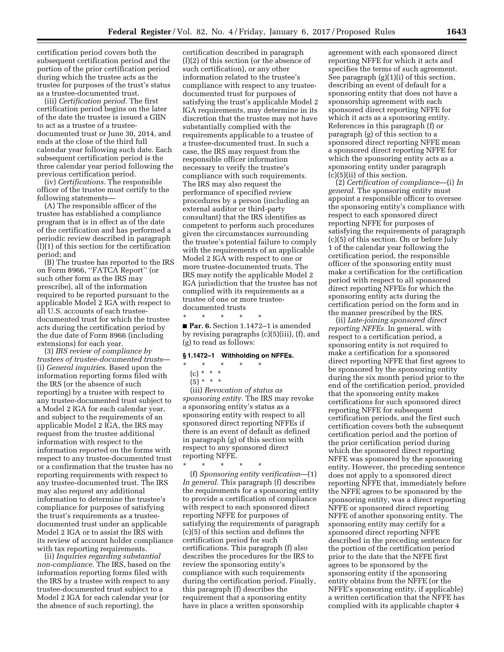certification period covers both the subsequent certification period and the portion of the prior certification period during which the trustee acts as the trustee for purposes of the trust's status as a trustee-documented trust.

(iii) *Certification period.* The first certification period begins on the later of the date the trustee is issued a GIIN to act as a trustee of a trusteedocumented trust or June 30, 2014, and ends at the close of the third full calendar year following such date. Each subsequent certification period is the three calendar year period following the previous certification period.

(iv) *Certifications.* The responsible officer of the trustee must certify to the following statements—

(A) The responsible officer of the trustee has established a compliance program that is in effect as of the date of the certification and has performed a periodic review described in paragraph (l)(1) of this section for the certification period; and

(B) The trustee has reported to the IRS on Form 8966, ''FATCA Report'' (or such other form as the IRS may prescribe), all of the information required to be reported pursuant to the applicable Model 2 IGA with respect to all U.S. accounts of each trusteedocumented trust for which the trustee acts during the certification period by the due date of Form 8966 (including extensions) for each year.

(3) *IRS review of compliance by trustees of trustee-documented trusts*— (i) *General inquiries.* Based upon the information reporting forms filed with the IRS (or the absence of such reporting) by a trustee with respect to any trustee-documented trust subject to a Model 2 IGA for each calendar year, and subject to the requirements of an applicable Model 2 IGA, the IRS may request from the trustee additional information with respect to the information reported on the forms with respect to any trustee-documented trust or a confirmation that the trustee has no reporting requirements with respect to any trustee-documented trust. The IRS may also request any additional information to determine the trustee's compliance for purposes of satisfying the trust's requirements as a trusteedocumented trust under an applicable Model 2 IGA or to assist the IRS with its review of account holder compliance with tax reporting requirements.

(ii) *Inquiries regarding substantial non-compliance.* The IRS, based on the information reporting forms filed with the IRS by a trustee with respect to any trustee-documented trust subject to a Model 2 IGA for each calendar year (or the absence of such reporting), the

certification described in paragraph (l)(2) of this section (or the absence of such certification), or any other information related to the trustee's compliance with respect to any trusteedocumented trust for purposes of satisfying the trust's applicable Model 2 IGA requirements, may determine in its discretion that the trustee may not have substantially complied with the requirements applicable to a trustee of a trustee-documented trust. In such a case, the IRS may request from the responsible officer information necessary to verify the trustee's compliance with such requirements. The IRS may also request the performance of specified review procedures by a person (including an external auditor or third-party consultant) that the IRS identifies as competent to perform such procedures given the circumstances surrounding the trustee's potential failure to comply with the requirements of an applicable Model 2 IGA with respect to one or more trustee-documented trusts. The IRS may notify the applicable Model 2 IGA jurisdiction that the trustee has not complied with its requirements as a trustee of one or more trusteedocumented trusts

\* \* \* \* \* ■ **Par. 6.** Section 1.1472-1 is amended by revising paragraphs (c)(5)(iii), (f), and (g) to read as follows:

#### **§ 1.1472–1 Withholding on NFFEs.**

# \* \* \* \* \*

- $(c) * * * *$
- $(5) * * * *$

(iii) *Revocation of status as sponsoring entity.* The IRS may revoke a sponsoring entity's status as a sponsoring entity with respect to all sponsored direct reporting NFFEs if there is an event of default as defined in paragraph (g) of this section with respect to any sponsored direct reporting NFFE.

\* \* \* \* \* (f) *Sponsoring entity verification*—(1) *In general.* This paragraph (f) describes the requirements for a sponsoring entity to provide a certification of compliance with respect to each sponsored direct reporting NFFE for purposes of satisfying the requirements of paragraph (c)(5) of this section and defines the certification period for such certifications. This paragraph (f) also describes the procedures for the IRS to review the sponsoring entity's compliance with such requirements during the certification period. Finally, this paragraph (f) describes the requirement that a sponsoring entity have in place a written sponsorship

agreement with each sponsored direct reporting NFFE for which it acts and specifies the terms of such agreement. See paragraph (g)(1)(i) of this section, describing an event of default for a sponsoring entity that does not have a sponsorship agreement with each sponsored direct reporting NFFE for which it acts as a sponsoring entity. References in this paragraph (f) or paragraph (g) of this section to a sponsored direct reporting NFFE mean a sponsored direct reporting NFFE for which the sponsoring entity acts as a sponsoring entity under paragraph (c)(5)(ii) of this section.

(2) *Certification of compliance*—(i) *In general.* The sponsoring entity must appoint a responsible officer to oversee the sponsoring entity's compliance with respect to each sponsored direct reporting NFFE for purposes of satisfying the requirements of paragraph (c)(5) of this section. On or before July 1 of the calendar year following the certification period, the responsible officer of the sponsoring entity must make a certification for the certification period with respect to all sponsored direct reporting NFFEs for which the sponsoring entity acts during the certification period on the form and in the manner prescribed by the IRS.

(ii) *Late-joining sponsored direct reporting NFFEs.* In general, with respect to a certification period, a sponsoring entity is not required to make a certification for a sponsored direct reporting NFFE that first agrees to be sponsored by the sponsoring entity during the six month period prior to the end of the certification period, provided that the sponsoring entity makes certifications for such sponsored direct reporting NFFE for subsequent certification periods, and the first such certification covers both the subsequent certification period and the portion of the prior certification period during which the sponsored direct reporting NFFE was sponsored by the sponsoring entity. However, the preceding sentence does not apply to a sponsored direct reporting NFFE that, immediately before the NFFE agrees to be sponsored by the sponsoring entity, was a direct reporting NFFE or sponsored direct reporting NFFE of another sponsoring entity. The sponsoring entity may certify for a sponsored direct reporting NFFE described in the preceding sentence for the portion of the certification period prior to the date that the NFFE first agrees to be sponsored by the sponsoring entity if the sponsoring entity obtains from the NFFE (or the NFFE's sponsoring entity, if applicable) a written certification that the NFFE has complied with its applicable chapter 4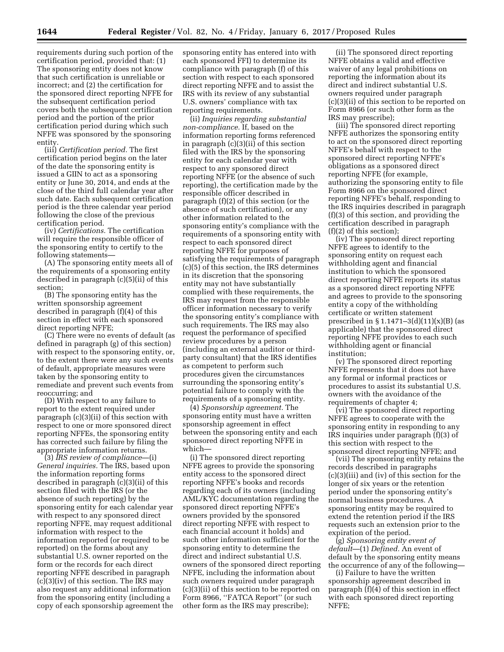requirements during such portion of the certification period, provided that: (1) The sponsoring entity does not know that such certification is unreliable or incorrect; and (2) the certification for the sponsored direct reporting NFFE for the subsequent certification period covers both the subsequent certification period and the portion of the prior certification period during which such NFFE was sponsored by the sponsoring entity.

(iii) *Certification period.* The first certification period begins on the later of the date the sponsoring entity is issued a GIIN to act as a sponsoring entity or June 30, 2014, and ends at the close of the third full calendar year after such date. Each subsequent certification period is the three calendar year period following the close of the previous certification period.

(iv) *Certifications.* The certification will require the responsible officer of the sponsoring entity to certify to the following statements—

(A) The sponsoring entity meets all of the requirements of a sponsoring entity described in paragraph (c)(5)(ii) of this section;

(B) The sponsoring entity has the written sponsorship agreement described in paragraph (f)(4) of this section in effect with each sponsored direct reporting NFFE;

(C) There were no events of default (as defined in paragraph (g) of this section) with respect to the sponsoring entity, or, to the extent there were any such events of default, appropriate measures were taken by the sponsoring entity to remediate and prevent such events from reoccurring; and

(D) With respect to any failure to report to the extent required under paragraph (c)(3)(ii) of this section with respect to one or more sponsored direct reporting NFFEs, the sponsoring entity has corrected such failure by filing the appropriate information returns.

(3) *IRS review of compliance*—(i) *General inquiries.* The IRS, based upon the information reporting forms described in paragraph (c)(3)(ii) of this section filed with the IRS (or the absence of such reporting) by the sponsoring entity for each calendar year with respect to any sponsored direct reporting NFFE, may request additional information with respect to the information reported (or required to be reported) on the forms about any substantial U.S. owner reported on the form or the records for each direct reporting NFFE described in paragraph (c)(3)(iv) of this section. The IRS may also request any additional information from the sponsoring entity (including a copy of each sponsorship agreement the sponsoring entity has entered into with each sponsored FFI) to determine its compliance with paragraph (f) of this section with respect to each sponsored direct reporting NFFE and to assist the IRS with its review of any substantial U.S. owners' compliance with tax reporting requirements.

(ii) *Inquiries regarding substantial non-compliance.* If, based on the information reporting forms referenced in paragraph  $(c)(3)(ii)$  of this section filed with the IRS by the sponsoring entity for each calendar year with respect to any sponsored direct reporting NFFE (or the absence of such reporting), the certification made by the responsible officer described in paragraph (f)(2) of this section (or the absence of such certification), or any other information related to the sponsoring entity's compliance with the requirements of a sponsoring entity with respect to each sponsored direct reporting NFFE for purposes of satisfying the requirements of paragraph (c)(5) of this section, the IRS determines in its discretion that the sponsoring entity may not have substantially complied with these requirements, the IRS may request from the responsible officer information necessary to verify the sponsoring entity's compliance with such requirements. The IRS may also request the performance of specified review procedures by a person (including an external auditor or thirdparty consultant) that the IRS identifies as competent to perform such procedures given the circumstances surrounding the sponsoring entity's potential failure to comply with the requirements of a sponsoring entity.

(4) *Sponsorship agreement.* The sponsoring entity must have a written sponsorship agreement in effect between the sponsoring entity and each sponsored direct reporting NFFE in which—

(i) The sponsored direct reporting NFFE agrees to provide the sponsoring entity access to the sponsored direct reporting NFFE's books and records regarding each of its owners (including AML/KYC documentation regarding the sponsored direct reporting NFFE's owners provided by the sponsored direct reporting NFFE with respect to each financial account it holds) and such other information sufficient for the sponsoring entity to determine the direct and indirect substantial U.S. owners of the sponsored direct reporting NFFE, including the information about such owners required under paragraph (c)(3)(ii) of this section to be reported on Form 8966, ''FATCA Report'' (or such other form as the IRS may prescribe);

(ii) The sponsored direct reporting NFFE obtains a valid and effective waiver of any legal prohibitions on reporting the information about its direct and indirect substantial U.S. owners required under paragraph (c)(3)(ii) of this section to be reported on Form 8966 (or such other form as the IRS may prescribe);

(iii) The sponsored direct reporting NFFE authorizes the sponsoring entity to act on the sponsored direct reporting NFFE's behalf with respect to the sponsored direct reporting NFFE's obligations as a sponsored direct reporting NFFE (for example, authorizing the sponsoring entity to file Form 8966 on the sponsored direct reporting NFFE's behalf, responding to the IRS inquiries described in paragraph (f)(3) of this section, and providing the certification described in paragraph (f)(2) of this section);

(iv) The sponsored direct reporting NFFE agrees to identify to the sponsoring entity on request each withholding agent and financial institution to which the sponsored direct reporting NFFE reports its status as a sponsored direct reporting NFFE and agrees to provide to the sponsoring entity a copy of the withholding certificate or written statement prescribed in  $\S 1.1471 - 3(d)(11)(x)(B)$  (as applicable) that the sponsored direct reporting NFFE provides to each such withholding agent or financial institution;

(v) The sponsored direct reporting NFFE represents that it does not have any formal or informal practices or procedures to assist its substantial U.S. owners with the avoidance of the requirements of chapter 4;

(vi) The sponsored direct reporting NFFE agrees to cooperate with the sponsoring entity in responding to any IRS inquiries under paragraph (f)(3) of this section with respect to the sponsored direct reporting NFFE; and

(vii) The sponsoring entity retains the records described in paragraphs (c)(3)(iii) and (iv) of this section for the longer of six years or the retention period under the sponsoring entity's normal business procedures. A sponsoring entity may be required to extend the retention period if the IRS requests such an extension prior to the expiration of the period.

(g) *Sponsoring entity event of default*—(1) *Defined.* An event of default by the sponsoring entity means the occurrence of any of the following—

(i) Failure to have the written sponsorship agreement described in paragraph (f)(4) of this section in effect with each sponsored direct reporting NFFE;